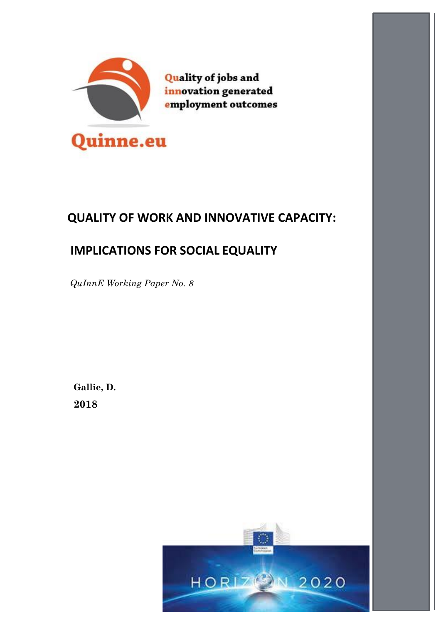

# **QUALITY OF WORK AND INNOVATIVE CAPACITY:**

# **IMPLICATIONS FOR SOCIAL EQUALITY**

 *QuInnE Working Paper No. 8*

**Gallie, D. 2018**

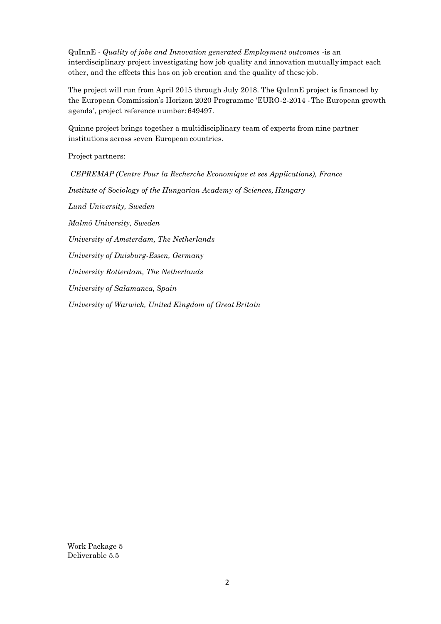QuInnE - *Quality of jobs and Innovation generated Employment outcomes* -is an interdisciplinary project investigating how job quality and innovation mutually impact each other, and the effects this has on job creation and the quality of these job.

The project will run from April 2015 through July 2018. The QuInnE project is financed by the European Commission's Horizon 2020 Programme 'EURO-2-2014 -The European growth agenda', project reference number: 649497.

Quinne project brings together a multidisciplinary team of experts from nine partner institutions across seven European countries.

Project partners:

*CEPREMAP (Centre Pour la Recherche Economique et ses Applications), France Institute of Sociology of the Hungarian Academy of Sciences, Hungary Lund University, Sweden Malmö University, Sweden University of Amsterdam, The Netherlands University of Duisburg-Essen, Germany University Rotterdam, The Netherlands University of Salamanca, Spain University of Warwick, United Kingdom of Great Britain*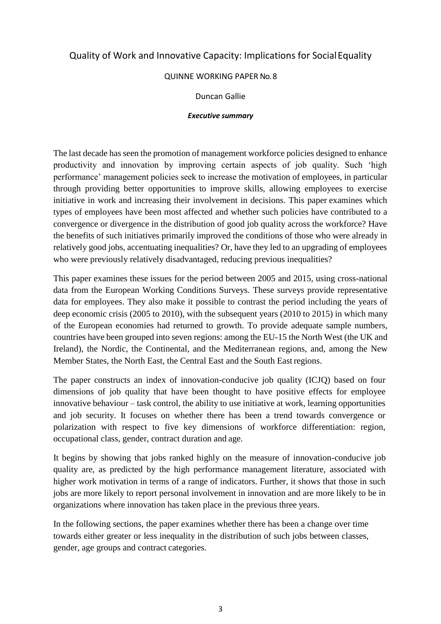# Quality of Work and Innovative Capacity: Implications for SocialEquality

#### QUINNE WORKING PAPER No. 8

#### Duncan Gallie

#### *Executive summary*

The last decade has seen the promotion of management workforce policies designed to enhance productivity and innovation by improving certain aspects of job quality. Such 'high performance' management policies seek to increase the motivation of employees, in particular through providing better opportunities to improve skills, allowing employees to exercise initiative in work and increasing their involvement in decisions. This paper examines which types of employees have been most affected and whether such policies have contributed to a convergence or divergence in the distribution of good job quality across the workforce? Have the benefits of such initiatives primarily improved the conditions of those who were already in relatively good jobs, accentuating inequalities? Or, have they led to an upgrading of employees who were previously relatively disadvantaged, reducing previous inequalities?

This paper examines these issues for the period between 2005 and 2015, using cross-national data from the European Working Conditions Surveys. These surveys provide representative data for employees. They also make it possible to contrast the period including the years of deep economic crisis (2005 to 2010), with the subsequent years (2010 to 2015) in which many of the European economies had returned to growth. To provide adequate sample numbers, countries have been grouped into seven regions: among the EU-15 the North West (the UK and Ireland), the Nordic, the Continental, and the Mediterranean regions, and, among the New Member States, the North East, the Central East and the South Eastregions.

The paper constructs an index of innovation-conducive job quality (ICJQ) based on four dimensions of job quality that have been thought to have positive effects for employee innovative behaviour – task control, the ability to use initiative at work, learning opportunities and job security. It focuses on whether there has been a trend towards convergence or polarization with respect to five key dimensions of workforce differentiation: region, occupational class, gender, contract duration and age.

It begins by showing that jobs ranked highly on the measure of innovation-conducive job quality are, as predicted by the high performance management literature, associated with higher work motivation in terms of a range of indicators. Further, it shows that those in such jobs are more likely to report personal involvement in innovation and are more likely to be in organizations where innovation has taken place in the previous three years.

In the following sections, the paper examines whether there has been a change over time towards either greater or less inequality in the distribution of such jobs between classes, gender, age groups and contract categories.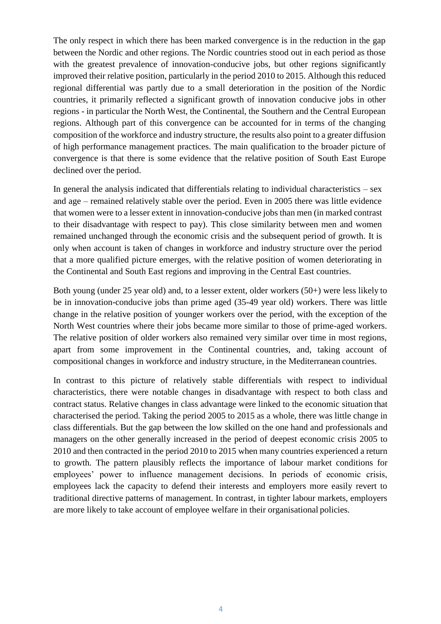The only respect in which there has been marked convergence is in the reduction in the gap between the Nordic and other regions. The Nordic countries stood out in each period as those with the greatest prevalence of innovation-conducive jobs, but other regions significantly improved their relative position, particularly in the period 2010 to 2015. Although this reduced regional differential was partly due to a small deterioration in the position of the Nordic countries, it primarily reflected a significant growth of innovation conducive jobs in other regions - in particular the North West, the Continental, the Southern and the Central European regions. Although part of this convergence can be accounted for in terms of the changing composition of the workforce and industry structure, the results also point to a greater diffusion of high performance management practices. The main qualification to the broader picture of convergence is that there is some evidence that the relative position of South East Europe declined over the period.

In general the analysis indicated that differentials relating to individual characteristics  $-$  sex and age – remained relatively stable over the period. Even in 2005 there was little evidence that women were to a lesser extent in innovation-conducive jobs than men (in marked contrast to their disadvantage with respect to pay). This close similarity between men and women remained unchanged through the economic crisis and the subsequent period of growth. It is only when account is taken of changes in workforce and industry structure over the period that a more qualified picture emerges, with the relative position of women deteriorating in the Continental and South East regions and improving in the Central East countries.

Both young (under 25 year old) and, to a lesser extent, older workers (50+) were less likely to be in innovation-conducive jobs than prime aged (35-49 year old) workers. There was little change in the relative position of younger workers over the period, with the exception of the North West countries where their jobs became more similar to those of prime-aged workers. The relative position of older workers also remained very similar over time in most regions, apart from some improvement in the Continental countries, and, taking account of compositional changes in workforce and industry structure, in the Mediterranean countries.

In contrast to this picture of relatively stable differentials with respect to individual characteristics, there were notable changes in disadvantage with respect to both class and contract status. Relative changes in class advantage were linked to the economic situation that characterised the period. Taking the period 2005 to 2015 as a whole, there was little change in class differentials. But the gap between the low skilled on the one hand and professionals and managers on the other generally increased in the period of deepest economic crisis 2005 to 2010 and then contracted in the period 2010 to 2015 when many countries experienced a return to growth. The pattern plausibly reflects the importance of labour market conditions for employees' power to influence management decisions. In periods of economic crisis, employees lack the capacity to defend their interests and employers more easily revert to traditional directive patterns of management. In contrast, in tighter labour markets, employers are more likely to take account of employee welfare in their organisational policies.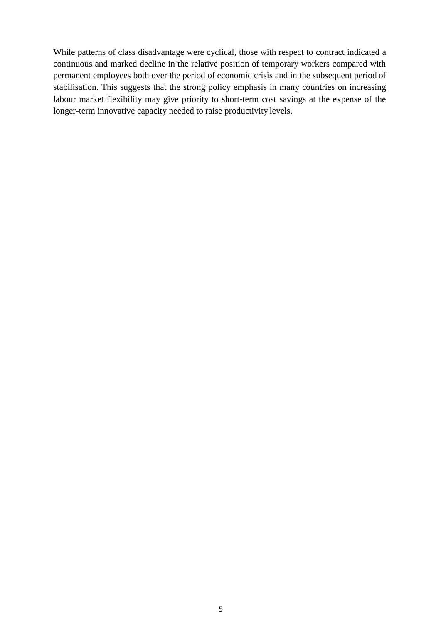While patterns of class disadvantage were cyclical, those with respect to contract indicated a continuous and marked decline in the relative position of temporary workers compared with permanent employees both over the period of economic crisis and in the subsequent period of stabilisation. This suggests that the strong policy emphasis in many countries on increasing labour market flexibility may give priority to short-term cost savings at the expense of the longer-term innovative capacity needed to raise productivity levels.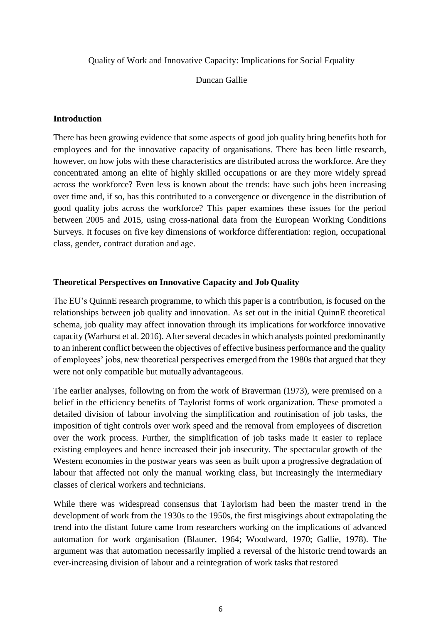Quality of Work and Innovative Capacity: Implications for Social Equality

Duncan Gallie

# **Introduction**

There has been growing evidence that some aspects of good job quality bring benefits both for employees and for the innovative capacity of organisations. There has been little research, however, on how jobs with these characteristics are distributed across the workforce. Are they concentrated among an elite of highly skilled occupations or are they more widely spread across the workforce? Even less is known about the trends: have such jobs been increasing over time and, if so, has this contributed to a convergence or divergence in the distribution of good quality jobs across the workforce? This paper examines these issues for the period between 2005 and 2015, using cross-national data from the European Working Conditions Surveys. It focuses on five key dimensions of workforce differentiation: region, occupational class, gender, contract duration and age.

# **Theoretical Perspectives on Innovative Capacity and Job Quality**

The EU's QuinnE research programme, to which this paper is a contribution, is focused on the relationships between job quality and innovation. As set out in the initial QuinnE theoretical schema, job quality may affect innovation through its implications for workforce innovative capacity (Warhurst et al. 2016). After several decades in which analysts pointed predominantly to an inherent conflict between the objectives of effective business performance and the quality of employees' jobs, new theoretical perspectives emerged from the 1980s that argued that they were not only compatible but mutually advantageous.

The earlier analyses, following on from the work of Braverman (1973), were premised on a belief in the efficiency benefits of Taylorist forms of work organization. These promoted a detailed division of labour involving the simplification and routinisation of job tasks, the imposition of tight controls over work speed and the removal from employees of discretion over the work process. Further, the simplification of job tasks made it easier to replace existing employees and hence increased their job insecurity. The spectacular growth of the Western economies in the postwar years was seen as built upon a progressive degradation of labour that affected not only the manual working class, but increasingly the intermediary classes of clerical workers and technicians.

While there was widespread consensus that Taylorism had been the master trend in the development of work from the 1930s to the 1950s, the first misgivings about extrapolating the trend into the distant future came from researchers working on the implications of advanced automation for work organisation (Blauner, 1964; Woodward, 1970; Gallie, 1978). The argument was that automation necessarily implied a reversal of the historic trend towards an ever-increasing division of labour and a reintegration of work tasks that restored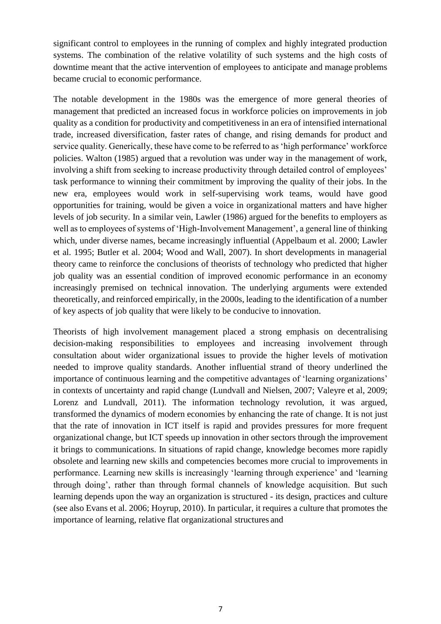significant control to employees in the running of complex and highly integrated production systems. The combination of the relative volatility of such systems and the high costs of downtime meant that the active intervention of employees to anticipate and manage problems became crucial to economic performance.

The notable development in the 1980s was the emergence of more general theories of management that predicted an increased focus in workforce policies on improvements in job quality as a condition for productivity and competitiveness in an era of intensified international trade, increased diversification, faster rates of change, and rising demands for product and service quality. Generically, these have come to be referred to as 'high performance' workforce policies. Walton (1985) argued that a revolution was under way in the management of work, involving a shift from seeking to increase productivity through detailed control of employees' task performance to winning their commitment by improving the quality of their jobs. In the new era, employees would work in self-supervising work teams, would have good opportunities for training, would be given a voice in organizational matters and have higher levels of job security. In a similar vein, Lawler (1986) argued for the benefits to employers as well as to employees of systems of 'High-Involvement Management', a general line of thinking which, under diverse names, became increasingly influential (Appelbaum et al. 2000; Lawler et al. 1995; Butler et al. 2004; Wood and Wall, 2007). In short developments in managerial theory came to reinforce the conclusions of theorists of technology who predicted that higher job quality was an essential condition of improved economic performance in an economy increasingly premised on technical innovation. The underlying arguments were extended theoretically, and reinforced empirically, in the 2000s, leading to the identification of a number of key aspects of job quality that were likely to be conducive to innovation.

Theorists of high involvement management placed a strong emphasis on decentralising decision-making responsibilities to employees and increasing involvement through consultation about wider organizational issues to provide the higher levels of motivation needed to improve quality standards. Another influential strand of theory underlined the importance of continuous learning and the competitive advantages of 'learning organizations' in contexts of uncertainty and rapid change (Lundvall and Nielsen, 2007; Valeyre et al, 2009; Lorenz and Lundvall, 2011). The information technology revolution, it was argued, transformed the dynamics of modern economies by enhancing the rate of change. It is not just that the rate of innovation in ICT itself is rapid and provides pressures for more frequent organizational change, but ICT speeds up innovation in other sectors through the improvement it brings to communications. In situations of rapid change, knowledge becomes more rapidly obsolete and learning new skills and competencies becomes more crucial to improvements in performance. Learning new skills is increasingly 'learning through experience' and 'learning through doing', rather than through formal channels of knowledge acquisition. But such learning depends upon the way an organization is structured - its design, practices and culture (see also Evans et al. 2006; Hoyrup, 2010). In particular, it requires a culture that promotes the importance of learning, relative flat organizational structures and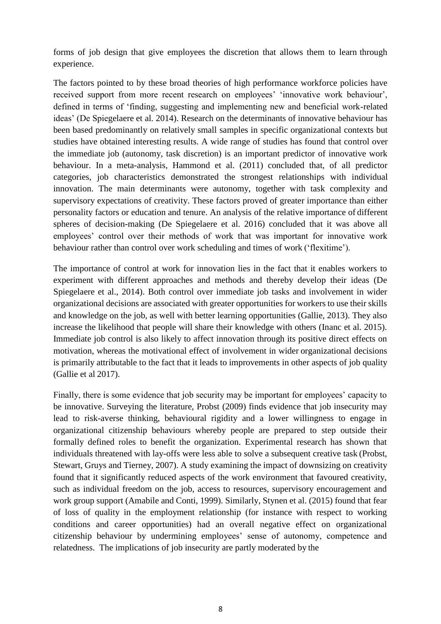forms of job design that give employees the discretion that allows them to learn through experience.

The factors pointed to by these broad theories of high performance workforce policies have received support from more recent research on employees' 'innovative work behaviour', defined in terms of 'finding, suggesting and implementing new and beneficial work-related ideas' (De Spiegelaere et al. 2014). Research on the determinants of innovative behaviour has been based predominantly on relatively small samples in specific organizational contexts but studies have obtained interesting results. A wide range of studies has found that control over the immediate job (autonomy, task discretion) is an important predictor of innovative work behaviour. In a meta-analysis, Hammond et al. (2011) concluded that, of all predictor categories, job characteristics demonstrated the strongest relationships with individual innovation. The main determinants were autonomy, together with task complexity and supervisory expectations of creativity. These factors proved of greater importance than either personality factors or education and tenure. An analysis of the relative importance of different spheres of decision-making (De Spiegelaere et al. 2016) concluded that it was above all employees' control over their methods of work that was important for innovative work behaviour rather than control over work scheduling and times of work ('flexitime').

The importance of control at work for innovation lies in the fact that it enables workers to experiment with different approaches and methods and thereby develop their ideas (De Spiegelaere et al., 2014). Both control over immediate job tasks and involvement in wider organizational decisions are associated with greater opportunities for workers to use their skills and knowledge on the job, as well with better learning opportunities (Gallie, 2013). They also increase the likelihood that people will share their knowledge with others (Inanc et al. 2015). Immediate job control is also likely to affect innovation through its positive direct effects on motivation, whereas the motivational effect of involvement in wider organizational decisions is primarily attributable to the fact that it leads to improvements in other aspects of job quality (Gallie et al 2017).

Finally, there is some evidence that job security may be important for employees' capacity to be innovative. Surveying the literature, Probst (2009) finds evidence that job insecurity may lead to risk-averse thinking, behavioural rigidity and a lower willingness to engage in organizational citizenship behaviours whereby people are prepared to step outside their formally defined roles to benefit the organization. Experimental research has shown that individuals threatened with lay-offs were less able to solve a subsequent creative task (Probst, Stewart, Gruys and Tierney, 2007). A study examining the impact of downsizing on creativity found that it significantly reduced aspects of the work environment that favoured creativity, such as individual freedom on the job, access to resources, supervisory encouragement and work group support (Amabile and Conti, 1999). Similarly, Stynen et al. (2015) found that fear of loss of quality in the employment relationship (for instance with respect to working conditions and career opportunities) had an overall negative effect on organizational citizenship behaviour by undermining employees' sense of autonomy, competence and relatedness. The implications of job insecurity are partly moderated by the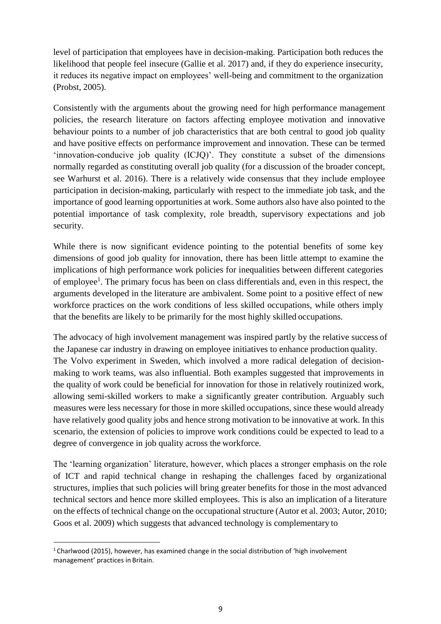level of participation that employees have in decision-making. Participation both reduces the likelihood that people feel insecure (Gallie et al. 2017) and, if they do experience insecurity, it reduces its negative impact on employees' well-being and commitment to the organization (Probst, 2005).

Consistently with the arguments about the growing need for high performance management policies, the research literature on factors affecting employee motivation and innovative behaviour points to a number of job characteristics that are both central to good job quality and have positive effects on performance improvement and innovation. These can be termed 'innovation-conducive job quality (ICJQ)'. They constitute a subset of the dimensions normally regarded as constituting overall job quality (for a discussion of the broader concept, see Warhurst et al. 2016). There is a relatively wide consensus that they include employee participation in decision-making, particularly with respect to the immediate job task, and the importance of good learning opportunities at work. Some authors also have also pointed to the potential importance of task complexity, role breadth, supervisory expectations and job security.

While there is now significant evidence pointing to the potential benefits of some key dimensions of good job quality for innovation, there has been little attempt to examine the implications of high performance work policies for inequalities between different categories of employee<sup>[1](#page-8-0)</sup>. The primary focus has been on class differentials and, even in this respect, the arguments developed in the literature are ambivalent. Some point to a positive effect of new workforce practices on the work conditions of less skilled occupations, while others imply that the benefits are likely to be primarily for the most highly skilled occupations.

The advocacy of high involvement management was inspired partly by the relative success of the Japanese car industry in drawing on employee initiatives to enhance production quality. The Volvo experiment in Sweden, which involved a more radical delegation of decisionmaking to work teams, was also influential. Both examples suggested that improvements in the quality of work could be beneficial for innovation for those in relatively routinized work, allowing semi-skilled workers to make a significantly greater contribution. Arguably such measures were less necessary for those in more skilled occupations, since these would already have relatively good quality jobs and hence strong motivation to be innovative at work. In this scenario, the extension of policies to improve work conditions could be expected to lead to a degree of convergence in job quality across the workforce.

The 'learning organization' literature, however, which places a stronger emphasis on the role of ICT and rapid technical change in reshaping the challenges faced by organizational structures, implies that such policies will bring greater benefits for those in the most advanced technical sectors and hence more skilled employees. This is also an implication of a literature on the effects of technical change on the occupational structure (Autor et al. 2003; Autor, 2010; Goos et al. 2009) which suggests that advanced technology is complementary to

<span id="page-8-0"></span><sup>&</sup>lt;sup>1</sup> Charlwood (2015), however, has examined change in the social distribution of 'high involvement management' practices in Britain.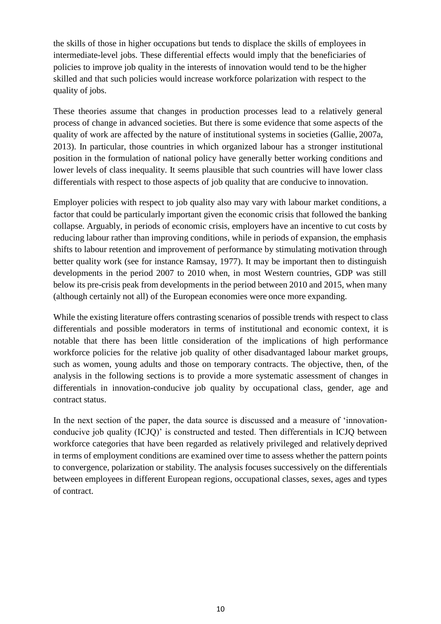the skills of those in higher occupations but tends to displace the skills of employees in intermediate-level jobs. These differential effects would imply that the beneficiaries of policies to improve job quality in the interests of innovation would tend to be the higher skilled and that such policies would increase workforce polarization with respect to the quality of jobs.

These theories assume that changes in production processes lead to a relatively general process of change in advanced societies. But there is some evidence that some aspects of the quality of work are affected by the nature of institutional systems in societies (Gallie, 2007a, 2013). In particular, those countries in which organized labour has a stronger institutional position in the formulation of national policy have generally better working conditions and lower levels of class inequality. It seems plausible that such countries will have lower class differentials with respect to those aspects of job quality that are conducive to innovation.

Employer policies with respect to job quality also may vary with labour market conditions, a factor that could be particularly important given the economic crisis that followed the banking collapse. Arguably, in periods of economic crisis, employers have an incentive to cut costs by reducing labour rather than improving conditions, while in periods of expansion, the emphasis shifts to labour retention and improvement of performance by stimulating motivation through better quality work (see for instance Ramsay, 1977). It may be important then to distinguish developments in the period 2007 to 2010 when, in most Western countries, GDP was still below its pre-crisis peak from developments in the period between 2010 and 2015, when many (although certainly not all) of the European economies were once more expanding.

While the existing literature offers contrasting scenarios of possible trends with respect to class differentials and possible moderators in terms of institutional and economic context, it is notable that there has been little consideration of the implications of high performance workforce policies for the relative job quality of other disadvantaged labour market groups, such as women, young adults and those on temporary contracts. The objective, then, of the analysis in the following sections is to provide a more systematic assessment of changes in differentials in innovation-conducive job quality by occupational class, gender, age and contract status.

In the next section of the paper, the data source is discussed and a measure of 'innovationconducive job quality (ICJQ)' is constructed and tested. Then differentials in ICJQ between workforce categories that have been regarded as relatively privileged and relatively deprived in terms of employment conditions are examined over time to assess whether the pattern points to convergence, polarization or stability. The analysis focuses successively on the differentials between employees in different European regions, occupational classes, sexes, ages and types of contract.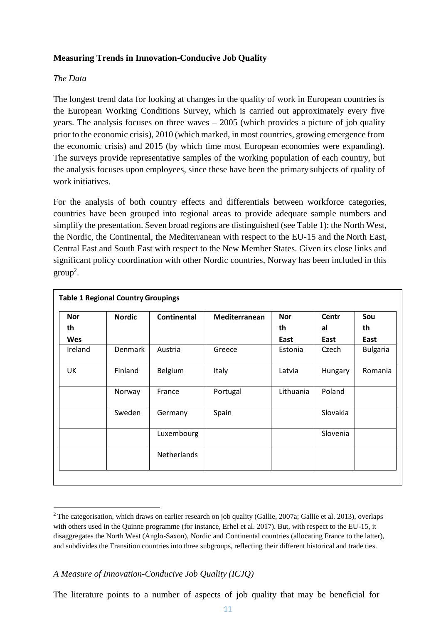### **Measuring Trends in Innovation-Conducive Job Quality**

### *The Data*

The longest trend data for looking at changes in the quality of work in European countries is the European Working Conditions Survey, which is carried out approximately every five years. The analysis focuses on three waves – 2005 (which provides a picture of job quality prior to the economic crisis), 2010 (which marked, in most countries, growing emergence from the economic crisis) and 2015 (by which time most European economies were expanding). The surveys provide representative samples of the working population of each country, but the analysis focuses upon employees, since these have been the primary subjects of quality of work initiatives.

For the analysis of both country effects and differentials between workforce categories, countries have been grouped into regional areas to provide adequate sample numbers and simplify the presentation. Seven broad regions are distinguished (see Table 1): the North West, the Nordic, the Continental, the Mediterranean with respect to the EU-15 and the North East, Central East and South East with respect to the New Member States. Given its close links and significant policy coordination with other Nordic countries, Norway has been included in this  $group<sup>2</sup>$  $group<sup>2</sup>$  $group<sup>2</sup>$ .

| <b>Nor</b> | <b>Nordic</b>  | <b>Continental</b> | Mediterranean | <b>Nor</b> | Centr    | Sou             |
|------------|----------------|--------------------|---------------|------------|----------|-----------------|
| th         |                |                    |               | th         | al       | th              |
| Wes        |                |                    |               | East       | East     | East            |
| Ireland    | <b>Denmark</b> | Austria            | Greece        | Estonia    | Czech    | <b>Bulgaria</b> |
| UK         | Finland        | <b>Belgium</b>     | Italy         | Latvia     | Hungary  | Romania         |
|            | Norway         | France             | Portugal      | Lithuania  | Poland   |                 |
|            | Sweden         | Germany            | Spain         |            | Slovakia |                 |
|            |                | Luxembourg         |               |            | Slovenia |                 |
|            |                | Netherlands        |               |            |          |                 |

<span id="page-10-0"></span><sup>&</sup>lt;sup>2</sup> The categorisation, which draws on earlier research on job quality (Gallie, 2007a; Gallie et al. 2013), overlaps with others used in the Quinne programme (for instance, Erhel et al. 2017). But, with respect to the EU-15, it disaggregates the North West (Anglo-Saxon), Nordic and Continental countries (allocating France to the latter), and subdivides the Transition countries into three subgroups, reflecting their different historical and trade ties.

# *A Measure of Innovation-Conducive Job Quality (ICJQ)*

The literature points to a number of aspects of job quality that may be beneficial for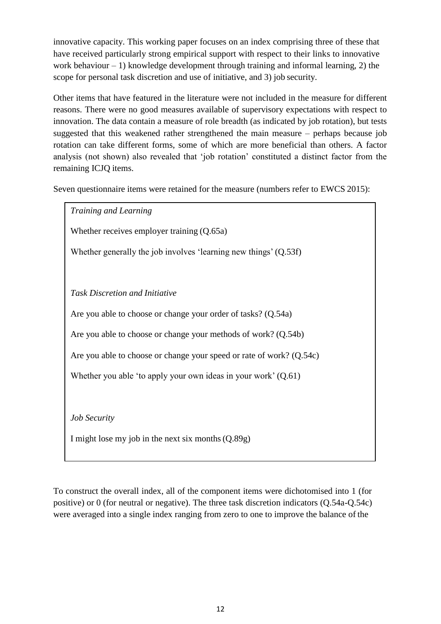innovative capacity. This working paper focuses on an index comprising three of these that have received particularly strong empirical support with respect to their links to innovative work behaviour  $-1$ ) knowledge development through training and informal learning, 2) the scope for personal task discretion and use of initiative, and 3) job security.

Other items that have featured in the literature were not included in the measure for different reasons. There were no good measures available of supervisory expectations with respect to innovation. The data contain a measure of role breadth (as indicated by job rotation), but tests suggested that this weakened rather strengthened the main measure – perhaps because job rotation can take different forms, some of which are more beneficial than others. A factor analysis (not shown) also revealed that 'job rotation' constituted a distinct factor from the remaining ICJQ items.

Seven questionnaire items were retained for the measure (numbers refer to EWCS 2015):

*Training and Learning* Whether receives employer training  $(0.65a)$ Whether generally the job involves 'learning new things' (Q.53f) *Task Discretion and Initiative* Are you able to choose or change your order of tasks? (Q.54a) Are you able to choose or change your methods of work? (Q.54b) Are you able to choose or change your speed or rate of work? (Q.54c) Whether you able 'to apply your own ideas in your work' (Q.61) *Job Security* I might lose my job in the next six months(Q.89g)

To construct the overall index, all of the component items were dichotomised into 1 (for positive) or 0 (for neutral or negative). The three task discretion indicators (Q.54a-Q.54c) were averaged into a single index ranging from zero to one to improve the balance of the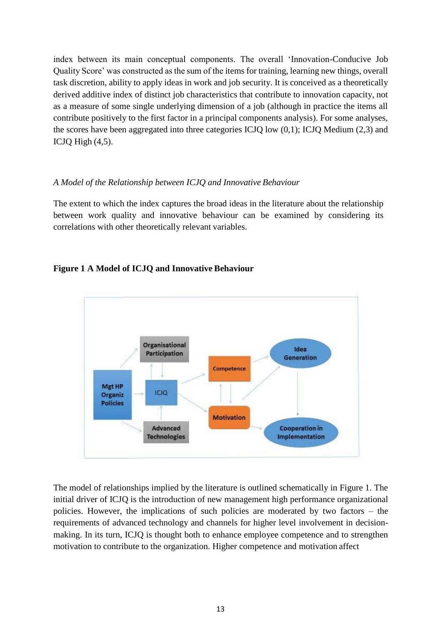index between its main conceptual components. The overall 'Innovation-Conducive Job Quality Score' was constructed as the sum of the items for training, learning new things, overall task discretion, ability to apply ideas in work and job security. It is conceived as a theoretically derived additive index of distinct job characteristics that contribute to innovation capacity, not as a measure of some single underlying dimension of a job (although in practice the items all contribute positively to the first factor in a principal components analysis). For some analyses, the scores have been aggregated into three categories ICJQ low (0,1); ICJQ Medium (2,3) and ICJQ High (4,5).

# *A Model of the Relationship between ICJQ and Innovative Behaviour*

The extent to which the index captures the broad ideas in the literature about the relationship between work quality and innovative behaviour can be examined by considering its correlations with other theoretically relevant variables.





The model of relationships implied by the literature is outlined schematically in Figure 1. The initial driver of ICJQ is the introduction of new management high performance organizational policies. However, the implications of such policies are moderated by two factors – the requirements of advanced technology and channels for higher level involvement in decisionmaking. In its turn, ICJQ is thought both to enhance employee competence and to strengthen motivation to contribute to the organization. Higher competence and motivation affect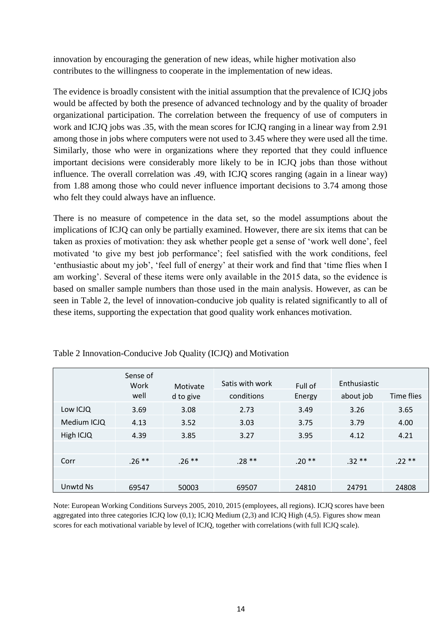innovation by encouraging the generation of new ideas, while higher motivation also contributes to the willingness to cooperate in the implementation of new ideas.

The evidence is broadly consistent with the initial assumption that the prevalence of ICJQ jobs would be affected by both the presence of advanced technology and by the quality of broader organizational participation. The correlation between the frequency of use of computers in work and ICJQ jobs was .35, with the mean scores for ICJQ ranging in a linear way from 2.91 among those in jobs where computers were not used to 3.45 where they were used all the time. Similarly, those who were in organizations where they reported that they could influence important decisions were considerably more likely to be in ICJQ jobs than those without influence. The overall correlation was .49, with ICJQ scores ranging (again in a linear way) from 1.88 among those who could never influence important decisions to 3.74 among those who felt they could always have an influence.

There is no measure of competence in the data set, so the model assumptions about the implications of ICJQ can only be partially examined. However, there are six items that can be taken as proxies of motivation: they ask whether people get a sense of 'work well done', feel motivated 'to give my best job performance'; feel satisfied with the work conditions, feel 'enthusiastic about my job', 'feel full of energy' at their work and find that 'time flies when I am working'. Several of these items were only available in the 2015 data, so the evidence is based on smaller sample numbers than those used in the main analysis. However, as can be seen in Table 2, the level of innovation-conducive job quality is related significantly to all of these items, supporting the expectation that good quality work enhances motivation.

|             | Sense of<br>Work<br>well | Motivate<br>d to give | Satis with work<br>conditions | Full of<br>Energy | Enthusiastic<br>about job | Time flies |
|-------------|--------------------------|-----------------------|-------------------------------|-------------------|---------------------------|------------|
| Low ICJQ    | 3.69                     | 3.08                  | 2.73                          | 3.49              | 3.26                      | 3.65       |
| Medium ICJQ | 4.13                     | 3.52                  | 3.03                          | 3.75              | 3.79                      | 4.00       |
| High ICJQ   | 4.39                     | 3.85                  | 3.27                          | 3.95              | 4.12                      | 4.21       |
|             |                          |                       |                               |                   |                           |            |
| Corr        | $.26**$                  | $.26***$              | $.28**$                       | $.20**$           | $.32**$                   | $.22**$    |
|             |                          |                       |                               |                   |                           |            |
| Unwtd Ns    | 69547                    | 50003                 | 69507                         | 24810             | 24791                     | 24808      |

Table 2 Innovation-Conducive Job Quality (ICJQ) and Motivation

Note: European Working Conditions Surveys 2005, 2010, 2015 (employees, all regions). ICJQ scores have been aggregated into three categories ICJQ low  $(0,1)$ ; ICJQ Medium  $(2,3)$  and ICJQ High  $(4,5)$ . Figures show mean scores for each motivational variable by level of ICJQ, together with correlations (with full ICJQ scale).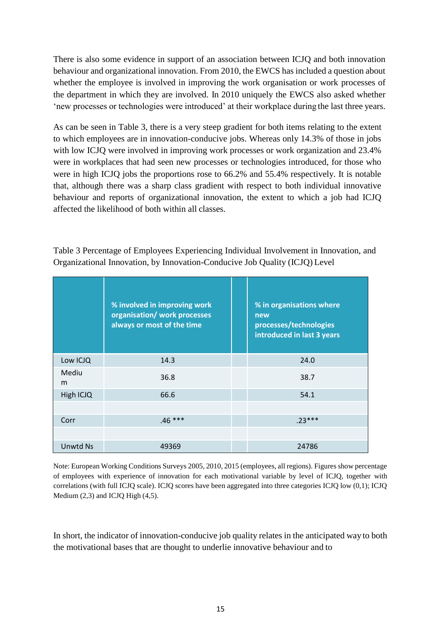There is also some evidence in support of an association between ICJQ and both innovation behaviour and organizational innovation. From 2010, the EWCS has included a question about whether the employee is involved in improving the work organisation or work processes of the department in which they are involved. In 2010 uniquely the EWCS also asked whether 'new processes or technologies were introduced' at their workplace during the last three years.

As can be seen in Table 3, there is a very steep gradient for both items relating to the extent to which employees are in innovation-conducive jobs. Whereas only 14.3% of those in jobs with low ICJQ were involved in improving work processes or work organization and 23.4% were in workplaces that had seen new processes or technologies introduced, for those who were in high ICJQ jobs the proportions rose to 66.2% and 55.4% respectively. It is notable that, although there was a sharp class gradient with respect to both individual innovative behaviour and reports of organizational innovation, the extent to which a job had ICJQ affected the likelihood of both within all classes.

|                 | % involved in improving work<br>organisation/ work processes<br>always or most of the time | % in organisations where<br>new<br>processes/technologies<br>introduced in last 3 years |
|-----------------|--------------------------------------------------------------------------------------------|-----------------------------------------------------------------------------------------|
| Low ICJQ        | 14.3                                                                                       | 24.0                                                                                    |
| Mediu<br>m      | 36.8                                                                                       | 38.7                                                                                    |
| High ICJQ       | 66.6                                                                                       | 54.1                                                                                    |
|                 |                                                                                            |                                                                                         |
| Corr            | $.46***$                                                                                   | $.23***$                                                                                |
|                 |                                                                                            |                                                                                         |
| <b>Unwtd Ns</b> | 49369                                                                                      | 24786                                                                                   |

Table 3 Percentage of Employees Experiencing Individual Involvement in Innovation, and Organizational Innovation, by Innovation-Conducive Job Quality (ICJQ) Level

Note: European Working Conditions Surveys 2005, 2010, 2015 (employees, all regions). Figures show percentage of employees with experience of innovation for each motivational variable by level of ICJQ, together with correlations (with full ICJQ scale). ICJQ scores have been aggregated into three categories ICJQ low (0,1); ICJQ Medium (2,3) and ICJQ High (4,5).

In short, the indicator of innovation-conducive job quality relates in the anticipated way to both the motivational bases that are thought to underlie innovative behaviour and to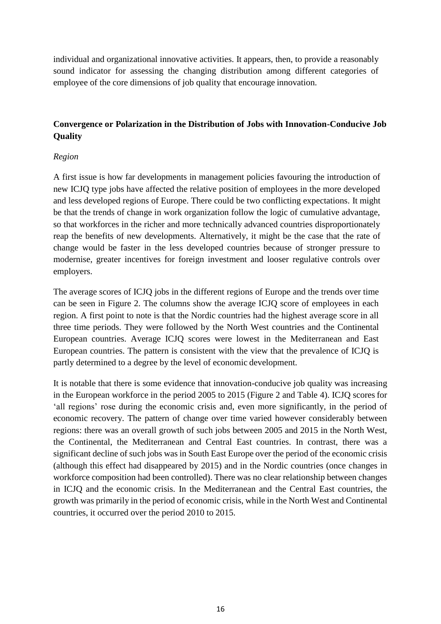individual and organizational innovative activities. It appears, then, to provide a reasonably sound indicator for assessing the changing distribution among different categories of employee of the core dimensions of job quality that encourage innovation.

# **Convergence or Polarization in the Distribution of Jobs with Innovation-Conducive Job Quality**

# *Region*

A first issue is how far developments in management policies favouring the introduction of new ICJQ type jobs have affected the relative position of employees in the more developed and less developed regions of Europe. There could be two conflicting expectations. It might be that the trends of change in work organization follow the logic of cumulative advantage, so that workforces in the richer and more technically advanced countries disproportionately reap the benefits of new developments. Alternatively, it might be the case that the rate of change would be faster in the less developed countries because of stronger pressure to modernise, greater incentives for foreign investment and looser regulative controls over employers.

The average scores of ICJQ jobs in the different regions of Europe and the trends over time can be seen in Figure 2. The columns show the average ICJQ score of employees in each region. A first point to note is that the Nordic countries had the highest average score in all three time periods. They were followed by the North West countries and the Continental European countries. Average ICJQ scores were lowest in the Mediterranean and East European countries. The pattern is consistent with the view that the prevalence of ICJQ is partly determined to a degree by the level of economic development.

It is notable that there is some evidence that innovation-conducive job quality was increasing in the European workforce in the period 2005 to 2015 (Figure 2 and Table 4). ICJQ scores for 'all regions' rose during the economic crisis and, even more significantly, in the period of economic recovery. The pattern of change over time varied however considerably between regions: there was an overall growth of such jobs between 2005 and 2015 in the North West, the Continental, the Mediterranean and Central East countries. In contrast, there was a significant decline of such jobs was in South East Europe over the period of the economic crisis (although this effect had disappeared by 2015) and in the Nordic countries (once changes in workforce composition had been controlled). There was no clear relationship between changes in ICJQ and the economic crisis. In the Mediterranean and the Central East countries, the growth was primarily in the period of economic crisis, while in the North West and Continental countries, it occurred over the period 2010 to 2015.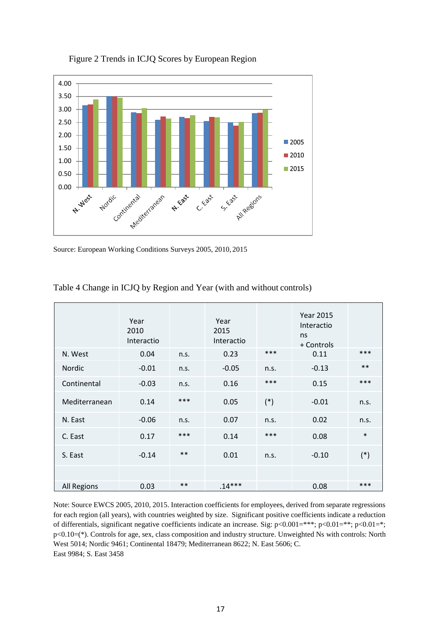

Figure 2 Trends in ICJQ Scores by European Region

Source: European Working Conditions Surveys 2005, 2010, 2015

|                    | Year<br>2010<br>Interactio |       | Year<br>2015<br>Interactio |       | <b>Year 2015</b><br>Interactio<br>ns<br>+ Controls |        |
|--------------------|----------------------------|-------|----------------------------|-------|----------------------------------------------------|--------|
| N. West            | 0.04                       | n.s.  | 0.23                       | ***   | 0.11                                               | ***    |
| <b>Nordic</b>      | $-0.01$                    | n.s.  | $-0.05$                    | n.s.  | $-0.13$                                            | $***$  |
| Continental        | $-0.03$                    | n.s.  | 0.16                       | ***   | 0.15                                               | ***    |
| Mediterranean      | 0.14                       | ***   | 0.05                       | $(*)$ | $-0.01$                                            | n.s.   |
| N. East            | $-0.06$                    | n.s.  | 0.07                       | n.s.  | 0.02                                               | n.s.   |
| C. East            | 0.17                       | ***   | 0.14                       | ***   | 0.08                                               | $\ast$ |
| S. East            | $-0.14$                    | $***$ | 0.01                       | n.s.  | $-0.10$                                            | $(*)$  |
|                    |                            |       |                            |       |                                                    |        |
| <b>All Regions</b> | 0.03                       | $***$ | $.14***$                   |       | 0.08                                               | $***$  |

Table 4 Change in ICJQ by Region and Year (with and without controls)

Note: Source EWCS 2005, 2010, 2015. Interaction coefficients for employees, derived from separate regressions for each region (all years), with countries weighted by size. Significant positive coefficients indicate a reduction of differentials, significant negative coefficients indicate an increase. Sig: p<0.001=\*\*\*; p<0.01=\*\*; p<0.01=\*; p<0.10=(\*). Controls for age, sex, class composition and industry structure. Unweighted Ns with controls: North West 5014; Nordic 9461; Continental 18479; Mediterranean 8622; N. East 5606; C. East 9984; S. East 3458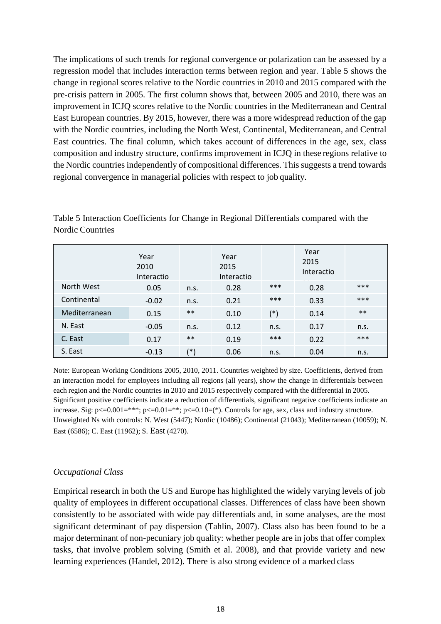The implications of such trends for regional convergence or polarization can be assessed by a regression model that includes interaction terms between region and year. Table 5 shows the change in regional scores relative to the Nordic countries in 2010 and 2015 compared with the pre-crisis pattern in 2005. The first column shows that, between 2005 and 2010, there was an improvement in ICJQ scores relative to the Nordic countries in the Mediterranean and Central East European countries. By 2015, however, there was a more widespread reduction of the gap with the Nordic countries, including the North West, Continental, Mediterranean, and Central East countries. The final column, which takes account of differences in the age, sex, class composition and industry structure, confirms improvement in ICJQ in these regions relative to the Nordic countries independently of compositional differences. This suggests a trend towards regional convergence in managerial policies with respect to job quality.

Table 5 Interaction Coefficients for Change in Regional Differentials compared with the Nordic Countries

|               | Year<br>2010<br>Interactio |       | Year<br>2015<br>Interactio |       | Year<br>2015<br>Interactio |       |
|---------------|----------------------------|-------|----------------------------|-------|----------------------------|-------|
| North West    | 0.05                       | n.s.  | 0.28                       | ***   | 0.28                       | ***   |
| Continental   | $-0.02$                    | n.S.  | 0.21                       | ***   | 0.33                       | ***   |
| Mediterranean | 0.15                       | $***$ | 0.10                       | $(*)$ | 0.14                       | $***$ |
| N. East       | $-0.05$                    | n.s.  | 0.12                       | n.s.  | 0.17                       | n.s.  |
| C. East       | 0.17                       | $***$ | 0.19                       | ***   | 0.22                       | ***   |
| S. East       | $-0.13$                    | (*)   | 0.06                       | n.s.  | 0.04                       | n.s.  |

Note: European Working Conditions 2005, 2010, 2011. Countries weighted by size. Coefficients, derived from an interaction model for employees including all regions (all years), show the change in differentials between each region and the Nordic countries in 2010 and 2015 respectively compared with the differential in 2005. Significant positive coefficients indicate a reduction of differentials, significant negative coefficients indicate an increase. Sig:  $p \le 0.001 = **$ ;  $p \le 0.01 = **$ ;  $p \le 0.10 = (*)$ . Controls for age, sex, class and industry structure. Unweighted Ns with controls: N. West (5447); Nordic (10486); Continental (21043); Mediterranean (10059); N. East (6586); C. East (11962); S. East (4270).

#### *Occupational Class*

Empirical research in both the US and Europe has highlighted the widely varying levels of job quality of employees in different occupational classes. Differences of class have been shown consistently to be associated with wide pay differentials and, in some analyses, are the most significant determinant of pay dispersion (Tahlin, 2007). Class also has been found to be a major determinant of non-pecuniary job quality: whether people are in jobs that offer complex tasks, that involve problem solving (Smith et al. 2008), and that provide variety and new learning experiences (Handel, 2012). There is also strong evidence of a marked class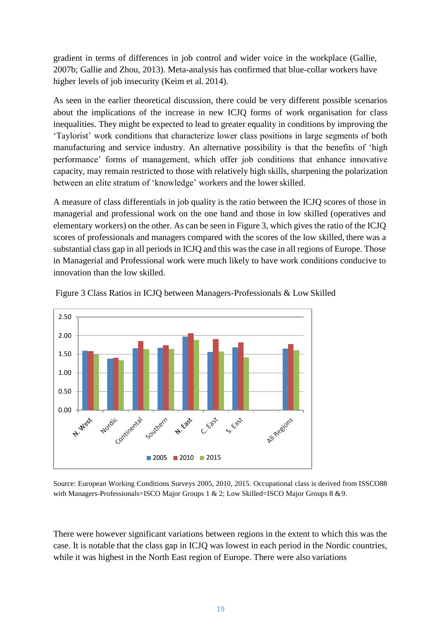gradient in terms of differences in job control and wider voice in the workplace (Gallie, 2007b; Gallie and Zhou, 2013). Meta-analysis has confirmed that blue-collar workers have higher levels of job insecurity (Keim et al. 2014).

As seen in the earlier theoretical discussion, there could be very different possible scenarios about the implications of the increase in new ICJQ forms of work organisation for class inequalities. They might be expected to lead to greater equality in conditions by improving the 'Taylorist' work conditions that characterize lower class positions in large segments of both manufacturing and service industry. An alternative possibility is that the benefits of 'high performance' forms of management, which offer job conditions that enhance innovative capacity, may remain restricted to those with relatively high skills, sharpening the polarization between an elite stratum of 'knowledge' workers and the lower skilled.

A measure of class differentials in job quality is the ratio between the ICJQ scores of those in managerial and professional work on the one hand and those in low skilled (operatives and elementary workers) on the other. As can be seen in Figure 3, which gives the ratio of the ICJQ scores of professionals and managers compared with the scores of the low skilled, there was a substantial class gap in all periods in ICJQ and this was the case in all regions of Europe. Those in Managerial and Professional work were much likely to have work conditions conducive to innovation than the low skilled.



Figure 3 Class Ratios in ICJQ between Managers-Professionals & Low Skilled

Source: European Working Conditions Surveys 2005, 2010, 2015. Occupational class is derived from ISSCO88 with Managers-Professionals=ISCO Major Groups 1 & 2; Low Skilled=ISCO Major Groups 8 & 9.

There were however significant variations between regions in the extent to which this was the case. It is notable that the class gap in ICJQ was lowest in each period in the Nordic countries, while it was highest in the North East region of Europe. There were also variations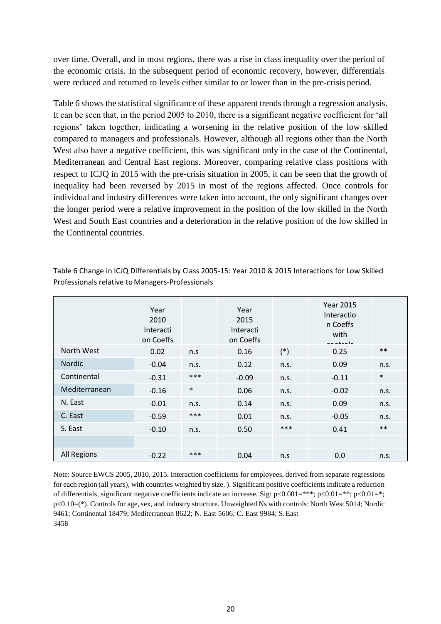over time. Overall, and in most regions, there was a rise in class inequality over the period of the economic crisis. In the subsequent period of economic recovery, however, differentials were reduced and returned to levels either similar to or lower than in the pre-crisis period.

Table 6 shows the statistical significance of these apparent trends through a regression analysis. It can be seen that, in the period 2005 to 2010, there is a significant negative coefficient for 'all regions' taken together, indicating a worsening in the relative position of the low skilled compared to managers and professionals. However, although all regions other than the North West also have a negative coefficient, this was significant only in the case of the Continental, Mediterranean and Central East regions. Moreover, comparing relative class positions with respect to ICJQ in 2015 with the pre-crisis situation in 2005, it can be seen that the growth of inequality had been reversed by 2015 in most of the regions affected. Once controls for individual and industry differences were taken into account, the only significant changes over the longer period were a relative improvement in the position of the low skilled in the North West and South East countries and a deterioration in the relative position of the low skilled in the Continental countries.

|                    | Year<br>2010<br>Interacti<br>on Coeffs |        | Year<br>2015<br>Interacti<br>on Coeffs |       | <b>Year 2015</b><br>Interactio<br>n Coeffs<br>with<br>controlo |        |
|--------------------|----------------------------------------|--------|----------------------------------------|-------|----------------------------------------------------------------|--------|
| North West         | 0.02                                   | n.s    | 0.16                                   | $(*)$ | 0.25                                                           | $***$  |
| Nordic             | $-0.04$                                | n.s.   | 0.12                                   | n.s.  | 0.09                                                           | n.s.   |
| Continental        | $-0.31$                                | $***$  | $-0.09$                                | n.s.  | $-0.11$                                                        | $\ast$ |
| Mediterranean      | $-0.16$                                | $\ast$ | 0.06                                   | n.s.  | $-0.02$                                                        | n.s.   |
| N. East            | $-0.01$                                | n.s.   | 0.14                                   | n.s.  | 0.09                                                           | n.s.   |
| C. East            | $-0.59$                                | ***    | 0.01                                   | n.s.  | $-0.05$                                                        | n.s.   |
| S. East            | $-0.10$                                | n.s.   | 0.50                                   | ***   | 0.41                                                           | $***$  |
|                    |                                        |        |                                        |       |                                                                |        |
| <b>All Regions</b> | $-0.22$                                | ***    | 0.04                                   | n.s   | 0.0                                                            | n.s.   |

Table 6 Change in ICJQ Differentials by Class 2005-15: Year 2010 & 2015 Interactions for Low Skilled Professionals relative to Managers-Professionals

Note: Source EWCS 2005, 2010, 2015. Interaction coefficients for employees, derived from separate regressions for each region (all years), with countries weighted by size. ). Significant positive coefficients indicate a reduction of differentials, significant negative coefficients indicate an increase. Sig:  $p<0.001=***$ ;  $p<0.01=**$ ;  $p<0.01=**$ ; p<0.10=(\*). Controls for age, sex, and industry structure. Unweighted Ns with controls: North West 5014; Nordic 9461; Continental 18479; Mediterranean 8622; N. East 5606; C. East 9984; S.East 3458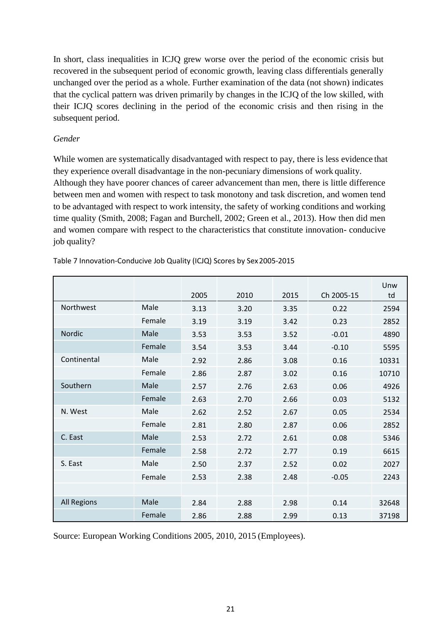In short, class inequalities in ICJQ grew worse over the period of the economic crisis but recovered in the subsequent period of economic growth, leaving class differentials generally unchanged over the period as a whole. Further examination of the data (not shown) indicates that the cyclical pattern was driven primarily by changes in the ICJQ of the low skilled, with their ICJQ scores declining in the period of the economic crisis and then rising in the subsequent period.

### *Gender*

While women are systematically disadvantaged with respect to pay, there is less evidence that they experience overall disadvantage in the non-pecuniary dimensions of work quality. Although they have poorer chances of career advancement than men, there is little difference between men and women with respect to task monotony and task discretion, and women tend to be advantaged with respect to work intensity, the safety of working conditions and working time quality (Smith, 2008; Fagan and Burchell, 2002; Green et al., 2013). How then did men and women compare with respect to the characteristics that constitute innovation- conducive job quality?

|                    |        | 2005 | 2010 | 2015 | Ch 2005-15 | Unw<br>td |
|--------------------|--------|------|------|------|------------|-----------|
| Northwest          | Male   | 3.13 | 3.20 | 3.35 | 0.22       | 2594      |
|                    | Female | 3.19 | 3.19 | 3.42 | 0.23       | 2852      |
| Nordic             | Male   | 3.53 | 3.53 | 3.52 | $-0.01$    | 4890      |
|                    | Female | 3.54 | 3.53 | 3.44 | $-0.10$    | 5595      |
| Continental        | Male   | 2.92 | 2.86 | 3.08 | 0.16       | 10331     |
|                    | Female | 2.86 | 2.87 | 3.02 | 0.16       | 10710     |
| Southern           | Male   | 2.57 | 2.76 | 2.63 | 0.06       | 4926      |
|                    | Female | 2.63 | 2.70 | 2.66 | 0.03       | 5132      |
| N. West            | Male   | 2.62 | 2.52 | 2.67 | 0.05       | 2534      |
|                    | Female | 2.81 | 2.80 | 2.87 | 0.06       | 2852      |
| C. East            | Male   | 2.53 | 2.72 | 2.61 | 0.08       | 5346      |
|                    | Female | 2.58 | 2.72 | 2.77 | 0.19       | 6615      |
| S. East            | Male   | 2.50 | 2.37 | 2.52 | 0.02       | 2027      |
|                    | Female | 2.53 | 2.38 | 2.48 | $-0.05$    | 2243      |
|                    |        |      |      |      |            |           |
| <b>All Regions</b> | Male   | 2.84 | 2.88 | 2.98 | 0.14       | 32648     |
|                    | Female | 2.86 | 2.88 | 2.99 | 0.13       | 37198     |

Table 7 Innovation-Conducive Job Quality (ICJQ) Scores by Sex2005-2015

Source: European Working Conditions 2005, 2010, 2015 (Employees).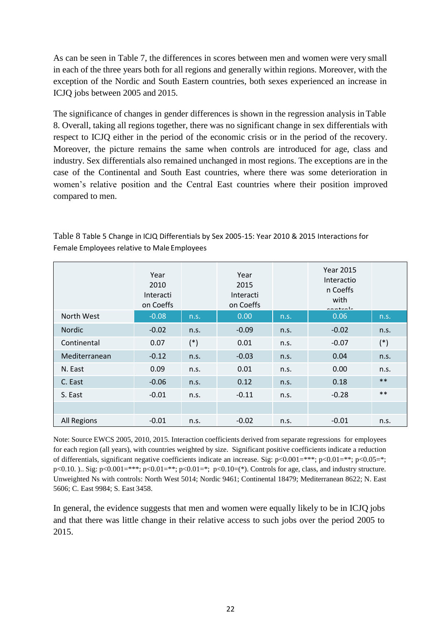As can be seen in Table 7, the differences in scores between men and women were very small in each of the three years both for all regions and generally within regions. Moreover, with the exception of the Nordic and South Eastern countries, both sexes experienced an increase in ICJQ jobs between 2005 and 2015.

The significance of changes in gender differences is shown in the regression analysis in Table 8. Overall, taking all regions together, there was no significant change in sex differentials with respect to ICJQ either in the period of the economic crisis or in the period of the recovery. Moreover, the picture remains the same when controls are introduced for age, class and industry. Sex differentials also remained unchanged in most regions. The exceptions are in the case of the Continental and South East countries, where there was some deterioration in women's relative position and the Central East countries where their position improved compared to men.

|                    | Year<br>2010<br>Interacti<br>on Coeffs |       | Year<br>2015<br>Interacti<br>on Coeffs |      | <b>Year 2015</b><br>Interactio<br>n Coeffs<br>with<br>مأمسهم مم |       |
|--------------------|----------------------------------------|-------|----------------------------------------|------|-----------------------------------------------------------------|-------|
| North West         | $-0.08$                                | n.s.  | 0.00                                   | n.s. | 0.06                                                            | n.s.  |
| Nordic             | $-0.02$                                | n.s.  | $-0.09$                                | n.s. | $-0.02$                                                         | n.s.  |
| Continental        | 0.07                                   | $(*)$ | 0.01                                   | n.s. | $-0.07$                                                         | $(*)$ |
| Mediterranean      | $-0.12$                                | n.s.  | $-0.03$                                | n.s. | 0.04                                                            | n.s.  |
| N. East            | 0.09                                   | n.s.  | 0.01                                   | n.s. | 0.00                                                            | n.s.  |
| C. East            | $-0.06$                                | n.s.  | 0.12                                   | n.s. | 0.18                                                            | $**$  |
| S. East            | $-0.01$                                | n.s.  | $-0.11$                                | n.s. | $-0.28$                                                         | $**$  |
|                    |                                        |       |                                        |      |                                                                 |       |
| <b>All Regions</b> | $-0.01$                                | n.s.  | $-0.02$                                | n.s. | $-0.01$                                                         | n.s.  |

Table 8 Table 5 Change in ICJQ Differentials by Sex 2005-15: Year 2010 & 2015 Interactions for Female Employees relative to Male Employees

Note: Source EWCS 2005, 2010, 2015. Interaction coefficients derived from separate regressions for employees for each region (all years), with countries weighted by size. Significant positive coefficients indicate a reduction of differentials, significant negative coefficients indicate an increase. Sig:  $p<0.001=***; p<0.01=**; p<0.05=*;$ p<0.10. ).. Sig: p<0.001=\*\*\*; p<0.01=\*\*; p<0.01=\*; p<0.10=(\*). Controls for age, class, and industry structure. Unweighted Ns with controls: North West 5014; Nordic 9461; Continental 18479; Mediterranean 8622; N. East 5606; C. East 9984; S. East 3458.

In general, the evidence suggests that men and women were equally likely to be in ICJQ jobs and that there was little change in their relative access to such jobs over the period 2005 to 2015.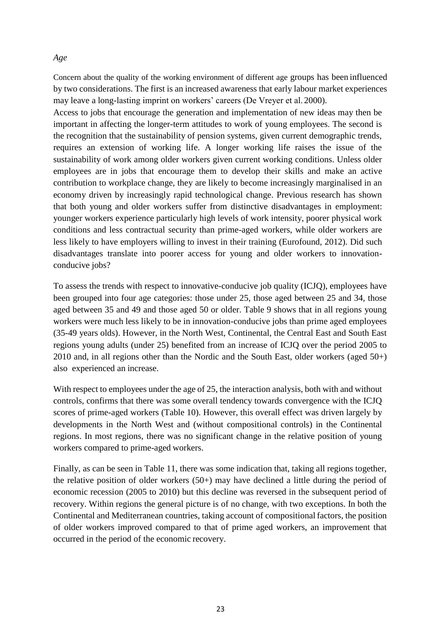#### *Age*

Concern about the quality of the working environment of different age groups has been influenced by two considerations. The first is an increased awareness that early labour market experiences may leave a long-lasting imprint on workers' careers (De Vreyer et al. 2000).

Access to jobs that encourage the generation and implementation of new ideas may then be important in affecting the longer-term attitudes to work of young employees. The second is the recognition that the sustainability of pension systems, given current demographic trends, requires an extension of working life. A longer working life raises the issue of the sustainability of work among older workers given current working conditions. Unless older employees are in jobs that encourage them to develop their skills and make an active contribution to workplace change, they are likely to become increasingly marginalised in an economy driven by increasingly rapid technological change. Previous research has shown that both young and older workers suffer from distinctive disadvantages in employment: younger workers experience particularly high levels of work intensity, poorer physical work conditions and less contractual security than prime-aged workers, while older workers are less likely to have employers willing to invest in their training (Eurofound, 2012). Did such disadvantages translate into poorer access for young and older workers to innovationconducive jobs?

To assess the trends with respect to innovative-conducive job quality (ICJQ), employees have been grouped into four age categories: those under 25, those aged between 25 and 34, those aged between 35 and 49 and those aged 50 or older. Table 9 shows that in all regions young workers were much less likely to be in innovation-conducive jobs than prime aged employees (35-49 years olds). However, in the North West, Continental, the Central East and South East regions young adults (under 25) benefited from an increase of ICJQ over the period 2005 to 2010 and, in all regions other than the Nordic and the South East, older workers (aged 50+) also experienced an increase.

With respect to employees under the age of 25, the interaction analysis, both with and without controls, confirms that there was some overall tendency towards convergence with the ICJQ scores of prime-aged workers (Table 10). However, this overall effect was driven largely by developments in the North West and (without compositional controls) in the Continental regions. In most regions, there was no significant change in the relative position of young workers compared to prime-aged workers.

Finally, as can be seen in Table 11, there was some indication that, taking all regions together, the relative position of older workers (50+) may have declined a little during the period of economic recession (2005 to 2010) but this decline was reversed in the subsequent period of recovery. Within regions the general picture is of no change, with two exceptions. In both the Continental and Mediterranean countries, taking account of compositionalfactors, the position of older workers improved compared to that of prime aged workers, an improvement that occurred in the period of the economic recovery.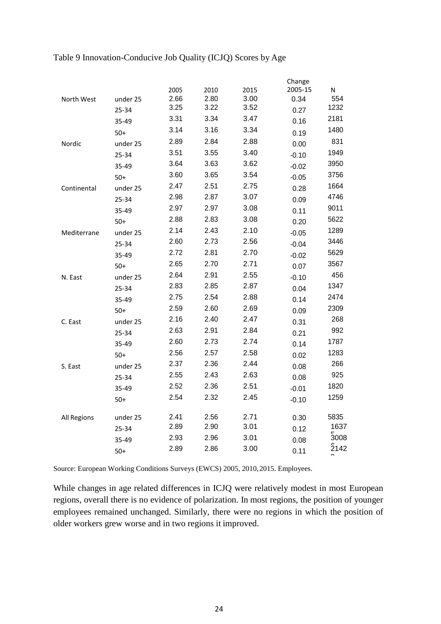| Table 9 Innovation-Conducive Job Quality (ICJQ) Scores by Age |  |  |
|---------------------------------------------------------------|--|--|
|---------------------------------------------------------------|--|--|

|                    |          |      |      |      | Change  |      |
|--------------------|----------|------|------|------|---------|------|
|                    |          | 2005 | 2010 | 2015 | 2005-15 | Ν    |
| North West         | under 25 | 2.66 | 2.80 | 3.00 | 0.34    | 554  |
|                    | 25-34    | 3.25 | 3.22 | 3.52 | 0.27    | 1232 |
|                    | 35-49    | 3.31 | 3.34 | 3.47 | 0.16    | 2181 |
|                    | $50+$    | 3.14 | 3.16 | 3.34 | 0.19    | 1480 |
| Nordic             | under 25 | 2.89 | 2.84 | 2.88 | 0.00    | 831  |
|                    | 25-34    | 3.51 | 3.55 | 3.40 | $-0.10$ | 1949 |
|                    | 35-49    | 3.64 | 3.63 | 3.62 | $-0.02$ | 3950 |
|                    | $50+$    | 3.60 | 3.65 | 3.54 | $-0.05$ | 3756 |
| Continental        | under 25 | 2.47 | 2.51 | 2.75 | 0.28    | 1664 |
|                    | 25-34    | 2.98 | 2.87 | 3.07 | 0.09    | 4746 |
|                    | 35-49    | 2.97 | 2.97 | 3.08 | 0.11    | 9011 |
|                    | $50+$    | 2.88 | 2.83 | 3.08 | 0.20    | 5622 |
| Mediterrane        | under 25 | 2.14 | 2.43 | 2.10 | $-0.05$ | 1289 |
|                    | 25-34    | 2.60 | 2.73 | 2.56 | $-0.04$ | 3446 |
|                    | 35-49    | 2.72 | 2.81 | 2.70 | $-0.02$ | 5629 |
|                    | $50+$    | 2.65 | 2.70 | 2.71 | 0.07    | 3567 |
| N. East            | under 25 | 2.64 | 2.91 | 2.55 | $-0.10$ | 456  |
|                    | 25-34    | 2.83 | 2.85 | 2.87 | 0.04    | 1347 |
|                    | 35-49    | 2.75 | 2.54 | 2.88 | 0.14    | 2474 |
|                    | $50+$    | 2.59 | 2.60 | 2.69 | 0.09    | 2309 |
| C. East            | under 25 | 2.16 | 2.40 | 2.47 | 0.31    | 268  |
|                    | 25-34    | 2.63 | 2.91 | 2.84 | 0.21    | 992  |
|                    | 35-49    | 2.60 | 2.73 | 2.74 | 0.14    | 1787 |
|                    | $50+$    | 2.56 | 2.57 | 2.58 | 0.02    | 1283 |
| S. East            | under 25 | 2.37 | 2.36 | 2.44 | 0.08    | 266  |
|                    | 25-34    | 2.55 | 2.43 | 2.63 | 0.08    | 925  |
|                    | 35-49    | 2.52 | 2.36 | 2.51 | $-0.01$ | 1820 |
|                    | $50+$    | 2.54 | 2.32 | 2.45 | $-0.10$ | 1259 |
| <b>All Regions</b> | under 25 | 2.41 | 2.56 | 2.71 | 0.30    | 5835 |
|                    | 25-34    | 2.89 | 2.90 | 3.01 | 0.12    | 1637 |
|                    | 35-49    | 2.93 | 2.96 | 3.01 | 0.08    | 5008 |
|                    | $50+$    | 2.89 | 2.86 | 3.00 | 0.11    | 2142 |
|                    |          |      |      |      |         |      |

Source: European Working Conditions Surveys (EWCS) 2005, 2010,2015. Employees.

While changes in age related differences in ICJQ were relatively modest in most European regions, overall there is no evidence of polarization. In most regions, the position of younger employees remained unchanged. Similarly, there were no regions in which the position of older workers grew worse and in two regions it improved.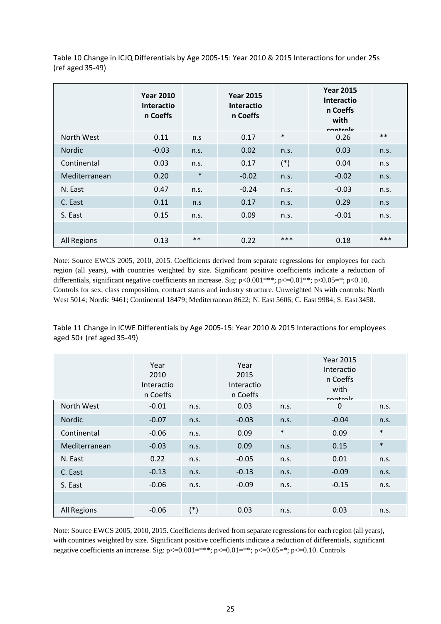Table 10 Change in ICJQ Differentials by Age 2005-15: Year 2010 & 2015 Interactions for under 25s (ref aged 35-49)

|                    | <b>Year 2010</b><br><b>Interactio</b><br>n Coeffs |        | <b>Year 2015</b><br><b>Interactio</b><br>n Coeffs |        | <b>Year 2015</b><br><b>Interactio</b><br>n Coeffs<br>with<br>controle |       |
|--------------------|---------------------------------------------------|--------|---------------------------------------------------|--------|-----------------------------------------------------------------------|-------|
| North West         | 0.11                                              | n.s    | 0.17                                              | $\ast$ | 0.26                                                                  | $***$ |
| Nordic             | $-0.03$                                           | n.s.   | 0.02                                              | n.s.   | 0.03                                                                  | n.s.  |
| Continental        | 0.03                                              | n.s.   | 0.17                                              | $(*)$  | 0.04                                                                  | n.s   |
| Mediterranean      | 0.20                                              | $\ast$ | $-0.02$                                           | n.s.   | $-0.02$                                                               | n.s.  |
| N. East            | 0.47                                              | n.s.   | $-0.24$                                           | n.s.   | $-0.03$                                                               | n.s.  |
| C. East            | 0.11                                              | n.s    | 0.17                                              | n.s.   | 0.29                                                                  | n.s   |
| S. East            | 0.15                                              | n.s.   | 0.09                                              | n.s.   | $-0.01$                                                               | n.s.  |
|                    |                                                   |        |                                                   |        |                                                                       |       |
| <b>All Regions</b> | 0.13                                              | $***$  | 0.22                                              | ***    | 0.18                                                                  | ***   |

Note: Source EWCS 2005, 2010, 2015. Coefficients derived from separate regressions for employees for each region (all years), with countries weighted by size. Significant positive coefficients indicate a reduction of differentials, significant negative coefficients an increase. Sig:  $p<0.001***$ ;  $p<0.01**$ ;  $p<0.05=$ ;  $p<0.10$ . Controls for sex, class composition, contract status and industry structure. Unweighted Ns with controls: North West 5014; Nordic 9461; Continental 18479; Mediterranean 8622; N. East 5606; C. East 9984; S. East 3458.

Table 11 Change in ICWE Differentials by Age 2005-15: Year 2010 & 2015 Interactions for employees aged 50+ (ref aged 35-49)

|                    | Year<br>2010<br>Interactio<br>n Coeffs |       | Year<br>2015<br>Interactio<br>n Coeffs |        | <b>Year 2015</b><br>Interactio<br>n Coeffs<br>with<br>controle |        |
|--------------------|----------------------------------------|-------|----------------------------------------|--------|----------------------------------------------------------------|--------|
| North West         | $-0.01$                                | n.s.  | 0.03                                   | n.s.   | $\mathbf 0$                                                    | n.s.   |
| Nordic             | $-0.07$                                | n.s.  | $-0.03$                                | n.s.   | $-0.04$                                                        | n.s.   |
| Continental        | $-0.06$                                | n.s.  | 0.09                                   | $\ast$ | 0.09                                                           | $\ast$ |
| Mediterranean      | $-0.03$                                | n.s.  | 0.09                                   | n.s.   | 0.15                                                           | $\ast$ |
| N. East            | 0.22                                   | n.s.  | $-0.05$                                | n.s.   | 0.01                                                           | n.s.   |
| C. East            | $-0.13$                                | n.s.  | $-0.13$                                | n.s.   | $-0.09$                                                        | n.s.   |
| S. East            | $-0.06$                                | n.s.  | $-0.09$                                | n.s.   | $-0.15$                                                        | n.s.   |
|                    |                                        |       |                                        |        |                                                                |        |
| <b>All Regions</b> | $-0.06$                                | $(*)$ | 0.03                                   | n.s.   | 0.03                                                           | n.s.   |

Note: Source EWCS 2005, 2010, 2015. Coefficients derived from separate regressions for each region (all years), with countries weighted by size. Significant positive coefficients indicate a reduction of differentials, significant negative coefficients an increase. Sig: p<=0.001=\*\*\*; p<=0.01=\*\*; p<=0.05=\*; p<=0.10. Controls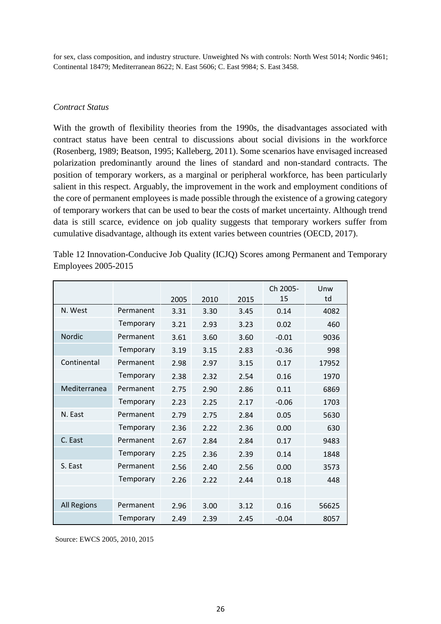for sex, class composition, and industry structure. Unweighted Ns with controls: North West 5014; Nordic 9461; Continental 18479; Mediterranean 8622; N. East 5606; C. East 9984; S. East 3458.

#### *Contract Status*

With the growth of flexibility theories from the 1990s, the disadvantages associated with contract status have been central to discussions about social divisions in the workforce (Rosenberg, 1989; Beatson, 1995; Kalleberg, 2011). Some scenarios have envisaged increased polarization predominantly around the lines of standard and non-standard contracts. The position of temporary workers, as a marginal or peripheral workforce, has been particularly salient in this respect. Arguably, the improvement in the work and employment conditions of the core of permanent employees is made possible through the existence of a growing category of temporary workers that can be used to bear the costs of market uncertainty. Although trend data is still scarce, evidence on job quality suggests that temporary workers suffer from cumulative disadvantage, although its extent varies between countries (OECD, 2017).

Table 12 Innovation-Conducive Job Quality (ICJQ) Scores among Permanent and Temporary Employees 2005-2015

|                    |           | 2005 | 2010 | 2015 | Ch 2005-<br>15 | Unw<br>td |
|--------------------|-----------|------|------|------|----------------|-----------|
| N. West            | Permanent | 3.31 | 3.30 | 3.45 | 0.14           | 4082      |
|                    | Temporary | 3.21 | 2.93 | 3.23 | 0.02           | 460       |
| <b>Nordic</b>      | Permanent | 3.61 | 3.60 | 3.60 | $-0.01$        | 9036      |
|                    | Temporary | 3.19 | 3.15 | 2.83 | $-0.36$        | 998       |
| Continental        | Permanent | 2.98 | 2.97 | 3.15 | 0.17           | 17952     |
|                    | Temporary | 2.38 | 2.32 | 2.54 | 0.16           | 1970      |
| Mediterranea       | Permanent | 2.75 | 2.90 | 2.86 | 0.11           | 6869      |
|                    | Temporary | 2.23 | 2.25 | 2.17 | $-0.06$        | 1703      |
| N. East            | Permanent | 2.79 | 2.75 | 2.84 | 0.05           | 5630      |
|                    | Temporary | 2.36 | 2.22 | 2.36 | 0.00           | 630       |
| C. East            | Permanent | 2.67 | 2.84 | 2.84 | 0.17           | 9483      |
|                    | Temporary | 2.25 | 2.36 | 2.39 | 0.14           | 1848      |
| S. East            | Permanent | 2.56 | 2.40 | 2.56 | 0.00           | 3573      |
|                    | Temporary | 2.26 | 2.22 | 2.44 | 0.18           | 448       |
|                    |           |      |      |      |                |           |
| <b>All Regions</b> | Permanent | 2.96 | 3.00 | 3.12 | 0.16           | 56625     |
|                    | Temporary | 2.49 | 2.39 | 2.45 | $-0.04$        | 8057      |

Source: EWCS 2005, 2010, 2015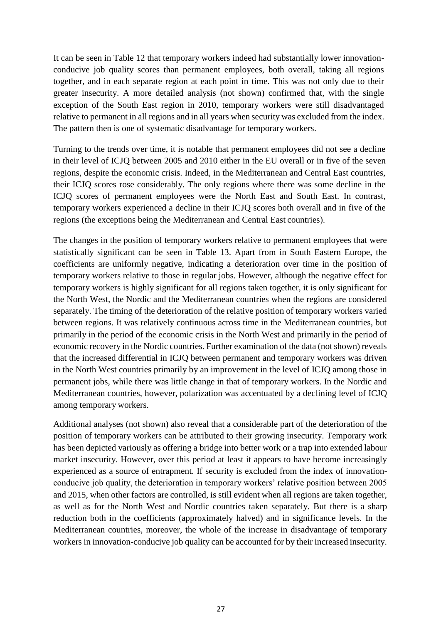It can be seen in Table 12 that temporary workers indeed had substantially lower innovationconducive job quality scores than permanent employees, both overall, taking all regions together, and in each separate region at each point in time. This was not only due to their greater insecurity. A more detailed analysis (not shown) confirmed that, with the single exception of the South East region in 2010, temporary workers were still disadvantaged relative to permanent in all regions and in all years when security was excluded from the index. The pattern then is one of systematic disadvantage for temporary workers.

Turning to the trends over time, it is notable that permanent employees did not see a decline in their level of ICJQ between 2005 and 2010 either in the EU overall or in five of the seven regions, despite the economic crisis. Indeed, in the Mediterranean and Central East countries, their ICJQ scores rose considerably. The only regions where there was some decline in the ICJQ scores of permanent employees were the North East and South East. In contrast, temporary workers experienced a decline in their ICJQ scores both overall and in five of the regions (the exceptions being the Mediterranean and Central East countries).

The changes in the position of temporary workers relative to permanent employees that were statistically significant can be seen in Table 13. Apart from in South Eastern Europe, the coefficients are uniformly negative, indicating a deterioration over time in the position of temporary workers relative to those in regular jobs. However, although the negative effect for temporary workers is highly significant for all regions taken together, it is only significant for the North West, the Nordic and the Mediterranean countries when the regions are considered separately. The timing of the deterioration of the relative position of temporary workers varied between regions. It was relatively continuous across time in the Mediterranean countries, but primarily in the period of the economic crisis in the North West and primarily in the period of economic recovery in the Nordic countries. Further examination of the data (not shown) reveals that the increased differential in ICJQ between permanent and temporary workers was driven in the North West countries primarily by an improvement in the level of ICJQ among those in permanent jobs, while there was little change in that of temporary workers. In the Nordic and Mediterranean countries, however, polarization was accentuated by a declining level of ICJQ among temporary workers.

Additional analyses (not shown) also reveal that a considerable part of the deterioration of the position of temporary workers can be attributed to their growing insecurity. Temporary work has been depicted variously as offering a bridge into better work or a trap into extended labour market insecurity. However, over this period at least it appears to have become increasingly experienced as a source of entrapment. If security is excluded from the index of innovationconducive job quality, the deterioration in temporary workers' relative position between 2005 and 2015, when other factors are controlled, is still evident when all regions are taken together, as well as for the North West and Nordic countries taken separately. But there is a sharp reduction both in the coefficients (approximately halved) and in significance levels. In the Mediterranean countries, moreover, the whole of the increase in disadvantage of temporary workers in innovation-conducive job quality can be accounted for by their increased insecurity.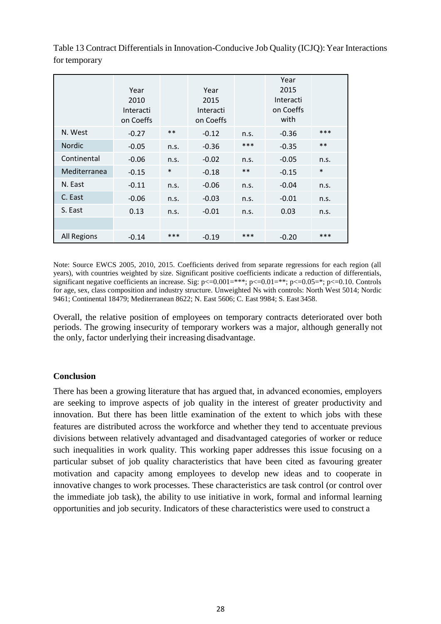|                    | Year<br>2010<br>Interacti<br>on Coeffs |        | Year<br>2015<br>Interacti<br>on Coeffs |       | Year<br>2015<br>Interacti<br>on Coeffs<br>with |        |
|--------------------|----------------------------------------|--------|----------------------------------------|-------|------------------------------------------------|--------|
| N. West            | $-0.27$                                | $***$  | $-0.12$                                | n.s.  | $-0.36$                                        | ***    |
| <b>Nordic</b>      | $-0.05$                                | n.s.   | $-0.36$                                | $***$ | $-0.35$                                        | $**$   |
| Continental        | $-0.06$                                | n.s.   | $-0.02$                                | n.s.  | $-0.05$                                        | n.s.   |
| Mediterranea       | $-0.15$                                | $\ast$ | $-0.18$                                | $***$ | $-0.15$                                        | $\ast$ |
| N. East            | $-0.11$                                | n.s.   | $-0.06$                                | n.s.  | $-0.04$                                        | n.s.   |
| C. East            | $-0.06$                                | n.s.   | $-0.03$                                | n.s.  | $-0.01$                                        | n.s.   |
| S. East            | 0.13                                   | n.s.   | $-0.01$                                | n.s.  | 0.03                                           | n.s.   |
|                    |                                        |        |                                        |       |                                                |        |
| <b>All Regions</b> | $-0.14$                                | $***$  | $-0.19$                                | $***$ | $-0.20$                                        | ***    |

Table 13 Contract Differentials in Innovation-Conducive Job Quality (ICJQ): Year Interactions for temporary

Note: Source EWCS 2005, 2010, 2015. Coefficients derived from separate regressions for each region (all years), with countries weighted by size. Significant positive coefficients indicate a reduction of differentials, significant negative coefficients an increase. Sig:  $p \le 0.001 = ***$ ;  $p \le 0.01 = **$ ;  $p \le 0.05 = **$ ;  $p \le 0.10$ . Controls for age, sex, class composition and industry structure. Unweighted Ns with controls: North West 5014; Nordic 9461; Continental 18479; Mediterranean 8622; N. East 5606; C. East 9984; S. East 3458.

Overall, the relative position of employees on temporary contracts deteriorated over both periods. The growing insecurity of temporary workers was a major, although generally not the only, factor underlying their increasing disadvantage.

#### **Conclusion**

There has been a growing literature that has argued that, in advanced economies, employers are seeking to improve aspects of job quality in the interest of greater productivity and innovation. But there has been little examination of the extent to which jobs with these features are distributed across the workforce and whether they tend to accentuate previous divisions between relatively advantaged and disadvantaged categories of worker or reduce such inequalities in work quality. This working paper addresses this issue focusing on a particular subset of job quality characteristics that have been cited as favouring greater motivation and capacity among employees to develop new ideas and to cooperate in innovative changes to work processes. These characteristics are task control (or control over the immediate job task), the ability to use initiative in work, formal and informal learning opportunities and job security. Indicators of these characteristics were used to construct a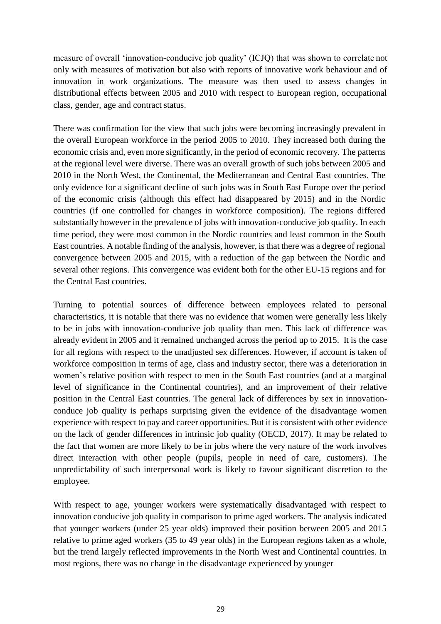measure of overall 'innovation-conducive job quality' (ICJQ) that was shown to correlate not only with measures of motivation but also with reports of innovative work behaviour and of innovation in work organizations. The measure was then used to assess changes in distributional effects between 2005 and 2010 with respect to European region, occupational class, gender, age and contract status.

There was confirmation for the view that such jobs were becoming increasingly prevalent in the overall European workforce in the period 2005 to 2010. They increased both during the economic crisis and, even more significantly, in the period of economic recovery. The patterns at the regional level were diverse. There was an overall growth of such jobs between 2005 and 2010 in the North West, the Continental, the Mediterranean and Central East countries. The only evidence for a significant decline of such jobs was in South East Europe over the period of the economic crisis (although this effect had disappeared by 2015) and in the Nordic countries (if one controlled for changes in workforce composition). The regions differed substantially however in the prevalence of jobs with innovation-conducive job quality. In each time period, they were most common in the Nordic countries and least common in the South East countries. A notable finding of the analysis, however, is that there was a degree of regional convergence between 2005 and 2015, with a reduction of the gap between the Nordic and several other regions. This convergence was evident both for the other EU-15 regions and for the Central East countries.

Turning to potential sources of difference between employees related to personal characteristics, it is notable that there was no evidence that women were generally less likely to be in jobs with innovation-conducive job quality than men. This lack of difference was already evident in 2005 and it remained unchanged across the period up to 2015. It is the case for all regions with respect to the unadjusted sex differences. However, if account is taken of workforce composition in terms of age, class and industry sector, there was a deterioration in women's relative position with respect to men in the South East countries (and at a marginal level of significance in the Continental countries), and an improvement of their relative position in the Central East countries. The general lack of differences by sex in innovationconduce job quality is perhaps surprising given the evidence of the disadvantage women experience with respect to pay and career opportunities. But it is consistent with other evidence on the lack of gender differences in intrinsic job quality (OECD, 2017). It may be related to the fact that women are more likely to be in jobs where the very nature of the work involves direct interaction with other people (pupils, people in need of care, customers). The unpredictability of such interpersonal work is likely to favour significant discretion to the employee.

With respect to age, younger workers were systematically disadvantaged with respect to innovation conducive job quality in comparison to prime aged workers. The analysis indicated that younger workers (under 25 year olds) improved their position between 2005 and 2015 relative to prime aged workers (35 to 49 year olds) in the European regions taken as a whole, but the trend largely reflected improvements in the North West and Continental countries. In most regions, there was no change in the disadvantage experienced by younger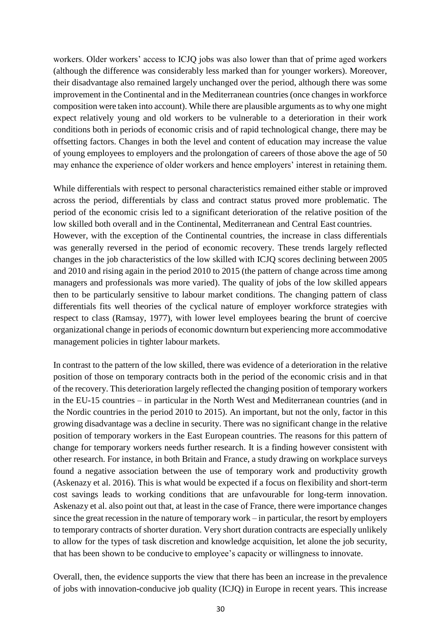workers. Older workers' access to ICJQ jobs was also lower than that of prime aged workers (although the difference was considerably less marked than for younger workers). Moreover, their disadvantage also remained largely unchanged over the period, although there was some improvement in the Continental and in the Mediterranean countries (once changes in workforce composition were taken into account). While there are plausible arguments as to why one might expect relatively young and old workers to be vulnerable to a deterioration in their work conditions both in periods of economic crisis and of rapid technological change, there may be offsetting factors. Changes in both the level and content of education may increase the value of young employees to employers and the prolongation of careers of those above the age of 50 may enhance the experience of older workers and hence employers' interest in retaining them.

While differentials with respect to personal characteristics remained either stable or improved across the period, differentials by class and contract status proved more problematic. The period of the economic crisis led to a significant deterioration of the relative position of the low skilled both overall and in the Continental, Mediterranean and Central East countries. However, with the exception of the Continental countries, the increase in class differentials was generally reversed in the period of economic recovery. These trends largely reflected changes in the job characteristics of the low skilled with ICJQ scores declining between 2005 and 2010 and rising again in the period 2010 to 2015 (the pattern of change across time among managers and professionals was more varied). The quality of jobs of the low skilled appears then to be particularly sensitive to labour market conditions. The changing pattern of class differentials fits well theories of the cyclical nature of employer workforce strategies with respect to class (Ramsay, 1977), with lower level employees bearing the brunt of coercive organizational change in periods of economic downturn but experiencing more accommodative management policies in tighter labour markets.

In contrast to the pattern of the low skilled, there was evidence of a deterioration in the relative position of those on temporary contracts both in the period of the economic crisis and in that of the recovery. This deterioration largely reflected the changing position of temporary workers in the EU-15 countries – in particular in the North West and Mediterranean countries (and in the Nordic countries in the period 2010 to 2015). An important, but not the only, factor in this growing disadvantage was a decline in security. There was no significant change in the relative position of temporary workers in the East European countries. The reasons for this pattern of change for temporary workers needs further research. It is a finding however consistent with other research. For instance, in both Britain and France, a study drawing on workplace surveys found a negative association between the use of temporary work and productivity growth (Askenazy et al. 2016). This is what would be expected if a focus on flexibility and short-term cost savings leads to working conditions that are unfavourable for long-term innovation. Askenazy et al. also point out that, at least in the case of France, there were importance changes since the great recession in the nature of temporary work – in particular, the resort by employers to temporary contracts of shorter duration. Very short duration contracts are especially unlikely to allow for the types of task discretion and knowledge acquisition, let alone the job security, that has been shown to be conducive to employee's capacity or willingness to innovate.

Overall, then, the evidence supports the view that there has been an increase in the prevalence of jobs with innovation-conducive job quality (ICJQ) in Europe in recent years. This increase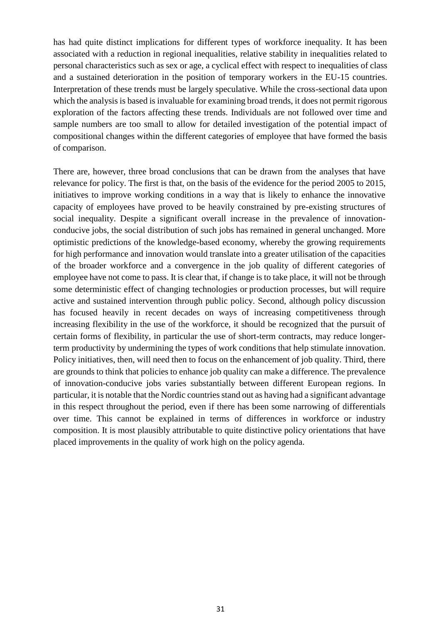has had quite distinct implications for different types of workforce inequality. It has been associated with a reduction in regional inequalities, relative stability in inequalities related to personal characteristics such as sex or age, a cyclical effect with respect to inequalities of class and a sustained deterioration in the position of temporary workers in the EU-15 countries. Interpretation of these trends must be largely speculative. While the cross-sectional data upon which the analysis is based is invaluable for examining broad trends, it does not permit rigorous exploration of the factors affecting these trends. Individuals are not followed over time and sample numbers are too small to allow for detailed investigation of the potential impact of compositional changes within the different categories of employee that have formed the basis of comparison.

There are, however, three broad conclusions that can be drawn from the analyses that have relevance for policy. The first is that, on the basis of the evidence for the period 2005 to 2015, initiatives to improve working conditions in a way that is likely to enhance the innovative capacity of employees have proved to be heavily constrained by pre-existing structures of social inequality. Despite a significant overall increase in the prevalence of innovationconducive jobs, the social distribution of such jobs has remained in general unchanged. More optimistic predictions of the knowledge-based economy, whereby the growing requirements for high performance and innovation would translate into a greater utilisation of the capacities of the broader workforce and a convergence in the job quality of different categories of employee have not come to pass. It is clear that, if change is to take place, it will not be through some deterministic effect of changing technologies or production processes, but will require active and sustained intervention through public policy. Second, although policy discussion has focused heavily in recent decades on ways of increasing competitiveness through increasing flexibility in the use of the workforce, it should be recognized that the pursuit of certain forms of flexibility, in particular the use of short-term contracts, may reduce longerterm productivity by undermining the types of work conditions that help stimulate innovation. Policy initiatives, then, will need then to focus on the enhancement of job quality. Third, there are grounds to think that policies to enhance job quality can make a difference. The prevalence of innovation-conducive jobs varies substantially between different European regions. In particular, it is notable that the Nordic countries stand out as having had a significant advantage in this respect throughout the period, even if there has been some narrowing of differentials over time. This cannot be explained in terms of differences in workforce or industry composition. It is most plausibly attributable to quite distinctive policy orientations that have placed improvements in the quality of work high on the policy agenda.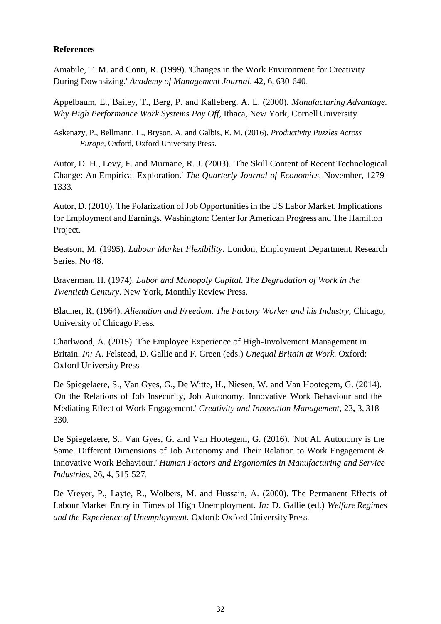#### **References**

Amabile, T. M. and Conti, R. (1999). 'Changes in the Work Environment for Creativity During Downsizing.' *Academy of Management Journal,* 42**,** 6, 630-640.

Appelbaum, E., Bailey, T., Berg, P. and Kalleberg, A. L. (2000). *Manufacturing Advantage. Why High Performance Work Systems Pay Off,* Ithaca, New York, Cornell University.

Askenazy, P., Bellmann, L., Bryson, A. and Galbis, E. M. (2016). *Productivity Puzzles Across Europe,* Oxford, Oxford University Press.

Autor, D. H., Levy, F. and Murnane, R. J. (2003). 'The Skill Content of Recent Technological Change: An Empirical Exploration.' *The Quarterly Journal of Economics,* November, 1279- 1333.

Autor, D. (2010). The Polarization of Job Opportunities in the US Labor Market. Implications for Employment and Earnings. Washington: Center for American Progress and The Hamilton Project.

Beatson, M. (1995). *Labour Market Flexibility*. London, Employment Department, Research Series, No 48.

Braverman, H. (1974). *Labor and Monopoly Capital. The Degradation of Work in the Twentieth Century*. New York, Monthly Review Press.

Blauner, R. (1964). *Alienation and Freedom. The Factory Worker and his Industry,* Chicago, University of Chicago Press.

Charlwood, A. (2015). The Employee Experience of High-Involvement Management in Britain. *In:* A. Felstead, D. Gallie and F. Green (eds.) *Unequal Britain at Work.* Oxford: Oxford University Press.

De Spiegelaere, S., Van Gyes, G., De Witte, H., Niesen, W. and Van Hootegem, G. (2014). 'On the Relations of Job Insecurity, Job Autonomy, Innovative Work Behaviour and the Mediating Effect of Work Engagement.' *Creativity and Innovation Management,* 23**,** 3, 318- 330.

De Spiegelaere, S., Van Gyes, G. and Van Hootegem, G. (2016). 'Not All Autonomy is the Same. Different Dimensions of Job Autonomy and Their Relation to Work Engagement & Innovative Work Behaviour.' *Human Factors and Ergonomics in Manufacturing and Service Industries,* 26**,** 4, 515-527.

De Vreyer, P., Layte, R., Wolbers, M. and Hussain, A. (2000). The Permanent Effects of Labour Market Entry in Times of High Unemployment. *In:* D. Gallie (ed.) *Welfare Regimes and the Experience of Unemployment.* Oxford: Oxford University Press.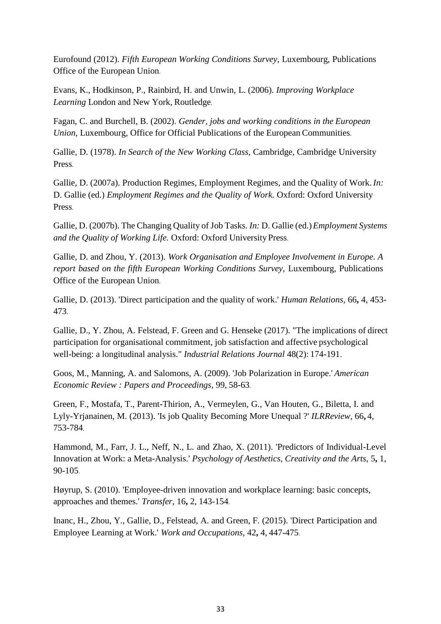Eurofound (2012). *Fifth European Working Conditions Survey,* Luxembourg, Publications Office of the European Union.

Evans, K., Hodkinson, P., Rainbird, H. and Unwin, L. (2006). *Improving Workplace Learning* London and New York, Routledge.

Fagan, C. and Burchell, B. (2002). *Gender, jobs and working conditions in the European Union, Luxembourg, Office for Official Publications of the European Communities.* 

Gallie, D. (1978). *In Search of the New Working Class,* Cambridge, Cambridge University Press.

Gallie, D. (2007a). Production Regimes, Employment Regimes, and the Quality of Work. *In:* D. Gallie (ed.) *Employment Regimes and the Quality of Work.* Oxford: Oxford University Press.

Gallie, D. (2007b). The Changing Quality of Job Tasks. *In:* D. Gallie (ed.)*Employment Systems and the Quality of Working Life.* Oxford: Oxford University Press.

Gallie, D. and Zhou, Y. (2013). *Work Organisation and Employee Involvement in Europe. A report based on the fifth European Working Conditions Survey, Luxembourg, Publications* Office of the European Union.

Gallie, D. (2013). 'Direct participation and the quality of work.' *Human Relations,* 66**,** 4, 453- 473.

Gallie, D., Y. Zhou, A. Felstead, F. Green and G. Henseke (2017). "The implications of direct participation for organisational commitment, job satisfaction and affective psychological well-being: a longitudinal analysis." *Industrial Relations Journal* 48(2): 174-191.

Goos, M., Manning, A. and Salomons, A. (2009). 'Job Polarization in Europe.' *American Economic Review : Papers and Proceedings,* 99, 58-63.

Green, F., Mostafa, T., Parent-Thirion, A., Vermeylen, G., Van Houten, G., Biletta, I. and Lyly-Yrjanainen, M. (2013). 'Is job Quality Becoming More Unequal ?' *ILRReview,* 66**,** 4, 753-784.

Hammond, M., Farr, J. L., Neff, N., L. and Zhao, X. (2011). 'Predictors of Individual-Level Innovation at Work: a Meta-Analysis.' *Psychology of Aesthetics, Creativity and the Arts,* 5**,** 1, 90-105.

Høyrup, S. (2010). 'Employee-driven innovation and workplace learning: basic concepts, approaches and themes.' *Transfer,* 16**,** 2, 143-154.

Inanc, H., Zhou, Y., Gallie, D., Felstead, A. and Green, F. (2015). 'Direct Participation and Employee Learning at Work.' *Work and Occupations,* 42**,** 4, 447-475.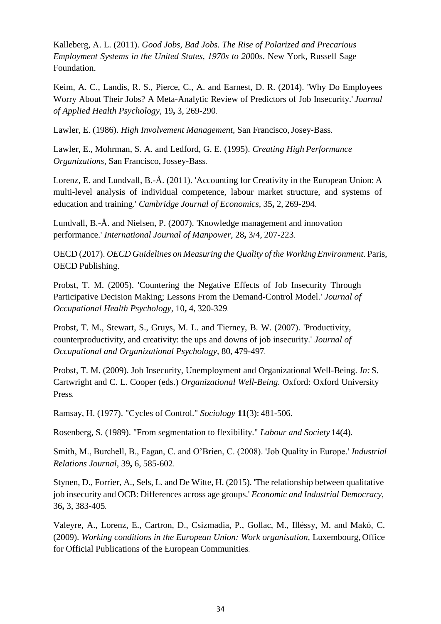Kalleberg, A. L. (2011). *Good Jobs, Bad Jobs. The Rise of Polarized and Precarious Employment Systems in the United States, 1970s to 20*00s. New York, Russell Sage Foundation.

Keim, A. C., Landis, R. S., Pierce, C., A. and Earnest, D. R. (2014). 'Why Do Employees Worry About Their Jobs? A Meta-Analytic Review of Predictors of Job Insecurity.' *Journal of Applied Health Psychology,* 19**,** 3, 269-290.

Lawler, E. (1986). *High Involvement Management,* San Francisco,Josey-Bass.

Lawler, E., Mohrman, S. A. and Ledford, G. E. (1995). *Creating High Performance Organizations,* San Francisco, Jossey-Bass.

Lorenz, E. and Lundvall, B.-Å. (2011). 'Accounting for Creativity in the European Union: A multi-level analysis of individual competence, labour market structure, and systems of education and training.' *Cambridge Journal of Economics,* 35**,** 2, 269-294.

Lundvall, B.-Å. and Nielsen, P. (2007). 'Knowledge management and innovation performance.' *International Journal of Manpower,* 28**,** 3/4, 207-223.

OECD (2017). *OECD Guidelines on Measuring the Quality of the Working Environment*. Paris, OECD Publishing.

Probst, T. M. (2005). 'Countering the Negative Effects of Job Insecurity Through Participative Decision Making; Lessons From the Demand-Control Model.' *Journal of Occupational Health Psychology,* 10**,** 4, 320-329.

Probst, T. M., Stewart, S., Gruys, M. L. and Tierney, B. W. (2007). 'Productivity, counterproductivity, and creativity: the ups and downs of job insecurity.' *Journal of Occupational and Organizational Psychology,* 80, 479-497.

Probst, T. M. (2009). Job Insecurity, Unemployment and Organizational Well-Being. *In:* S. Cartwright and C. L. Cooper (eds.) *Organizational Well-Being.* Oxford: Oxford University Press.

Ramsay, H. (1977). "Cycles of Control." *Sociology* **11**(3): 481-506.

Rosenberg, S. (1989). "From segmentation to flexibility." *Labour and Society* 14(4).

Smith, M., Burchell, B., Fagan, C. and O'Brien, C. (2008). 'Job Quality in Europe.' *Industrial Relations Journal,* 39**,** 6, 585-602.

Stynen, D., Forrier, A., Sels, L. and De Witte, H. (2015). 'The relationship between qualitative job insecurity and OCB: Differences across age groups.' *Economic and Industrial Democracy,*  36**,** 3, 383-405.

Valeyre, A., Lorenz, E., Cartron, D., Csizmadia, P., Gollac, M., Illéssy, M. and Makó, C. (2009). *Working conditions in the European Union: Work organisation,* Luxembourg, Office for Official Publications of the European Communities.